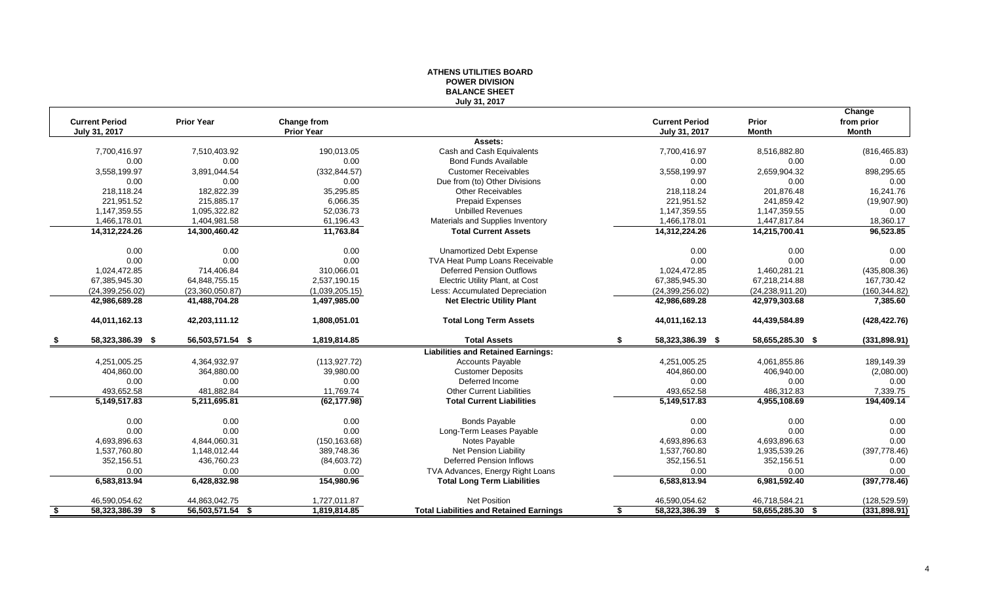#### **ATHENS UTILITIES BOARD POWER DIVISION BALANCE SHEET July 31, 2017**

|      | <b>Current Period</b><br>July 31, 2017 | <b>Prior Year</b> | Change from<br><b>Prior Year</b> |                                                | <b>Current Period</b><br>July 31, 2017 | Prior<br><b>Month</b> | Change<br>from prior<br>Month |
|------|----------------------------------------|-------------------|----------------------------------|------------------------------------------------|----------------------------------------|-----------------------|-------------------------------|
|      |                                        |                   |                                  | Assets:                                        |                                        |                       |                               |
|      | 7,700,416.97                           | 7,510,403.92      | 190,013.05                       | Cash and Cash Equivalents                      | 7,700,416.97                           | 8,516,882.80          | (816, 465.83)                 |
|      | 0.00                                   | 0.00              | 0.00                             | <b>Bond Funds Available</b>                    | 0.00                                   | 0.00                  | 0.00                          |
|      | 3,558,199.97                           | 3,891,044.54      | (332, 844.57)                    | <b>Customer Receivables</b>                    | 3,558,199.97                           | 2,659,904.32          | 898,295.65                    |
|      | 0.00                                   | 0.00              | 0.00                             | Due from (to) Other Divisions                  | 0.00                                   | 0.00                  | 0.00                          |
|      | 218,118.24                             | 182,822.39        | 35,295.85                        | <b>Other Receivables</b>                       | 218,118.24                             | 201,876.48            | 16,241.76                     |
|      | 221,951.52                             | 215,885.17        | 6,066.35                         | <b>Prepaid Expenses</b>                        | 221,951.52                             | 241,859.42            | (19,907.90)                   |
|      | 1,147,359.55                           | 1,095,322.82      | 52,036.73                        | <b>Unbilled Revenues</b>                       | 1,147,359.55                           | 1,147,359.55          | 0.00                          |
|      | 1,466,178.01                           | 1,404,981.58      | 61,196.43                        | Materials and Supplies Inventory               | 1,466,178.01                           | 1,447,817.84          | 18,360.17                     |
|      | 14,312,224.26                          | 14,300,460.42     | 11,763.84                        | <b>Total Current Assets</b>                    | 14,312,224.26                          | 14,215,700.41         | 96,523.85                     |
|      | 0.00                                   | 0.00              | 0.00                             | <b>Unamortized Debt Expense</b>                | 0.00                                   | 0.00                  | 0.00                          |
|      | 0.00                                   | 0.00              | 0.00                             | TVA Heat Pump Loans Receivable                 | 0.00                                   | 0.00                  | 0.00                          |
|      | 1,024,472.85                           | 714,406.84        | 310,066.01                       | <b>Deferred Pension Outflows</b>               | 1,024,472.85                           | 1,460,281.21          | (435,808.36)                  |
|      | 67,385,945.30                          | 64,848,755.15     | 2,537,190.15                     | Electric Utility Plant, at Cost                | 67,385,945.30                          | 67,218,214.88         | 167,730.42                    |
|      | (24, 399, 256.02)                      | (23,360,050.87)   | (1,039,205.15)                   | Less: Accumulated Depreciation                 | (24, 399, 256.02)                      | (24, 238, 911.20)     | (160, 344.82)                 |
|      | 42,986,689.28                          | 41,488,704.28     | 1,497,985.00                     | <b>Net Electric Utility Plant</b>              | 42,986,689.28                          | 42,979,303.68         | 7,385.60                      |
|      | 44,011,162.13                          | 42,203,111.12     | 1.808.051.01                     | <b>Total Long Term Assets</b>                  | 44,011,162.13                          | 44,439,584.89         | (428, 422.76)                 |
|      | 58,323,386.39 \$                       | 56,503,571.54 \$  | 1,819,814.85                     | <b>Total Assets</b>                            | 58,323,386.39 \$<br>\$                 | 58,655,285.30 \$      | (331, 898.91)                 |
|      |                                        |                   |                                  | <b>Liabilities and Retained Earnings:</b>      |                                        |                       |                               |
|      | 4,251,005.25                           | 4,364,932.97      | (113, 927.72)                    | <b>Accounts Payable</b>                        | 4,251,005.25                           | 4,061,855.86          | 189,149.39                    |
|      | 404,860.00                             | 364,880.00        | 39,980.00                        | <b>Customer Deposits</b>                       | 404,860.00                             | 406,940.00            | (2,080.00)                    |
|      | 0.00                                   | 0.00              | 0.00                             | Deferred Income                                | 0.00                                   | 0.00                  | 0.00                          |
|      | 493,652.58                             | 481,882.84        | 11,769.74                        | <b>Other Current Liabilities</b>               | 493,652.58                             | 486,312.83            | 7,339.75                      |
|      | 5,149,517.83                           | 5,211,695.81      | (62, 177.98)                     | <b>Total Current Liabilities</b>               | 5,149,517.83                           | 4,955,108.69          | 194,409.14                    |
|      | 0.00                                   | 0.00              | 0.00                             | <b>Bonds Payable</b>                           | 0.00                                   | 0.00                  | 0.00                          |
|      | 0.00                                   | 0.00              | 0.00                             | Long-Term Leases Payable                       | 0.00                                   | 0.00                  | 0.00                          |
|      | 4,693,896.63                           | 4.844.060.31      | (150, 163.68)                    | Notes Payable                                  | 4,693,896.63                           | 4,693,896.63          | 0.00                          |
|      | 1,537,760.80                           | 1,148,012.44      | 389,748.36                       | Net Pension Liability                          | 1,537,760.80                           | 1,935,539.26          | (397, 778.46)                 |
|      | 352,156.51                             | 436,760.23        | (84, 603.72)                     | <b>Deferred Pension Inflows</b>                | 352,156.51                             | 352,156.51            | 0.00                          |
|      | 0.00                                   | 0.00              | 0.00                             | TVA Advances, Energy Right Loans               | 0.00                                   | 0.00                  | 0.00                          |
|      | 6,583,813.94                           | 6,428,832.98      | 154,980.96                       | <b>Total Long Term Liabilities</b>             | 6,583,813.94                           | 6,981,592.40          | (397, 778.46)                 |
|      | 46,590,054.62                          | 44,863,042.75     | 1,727,011.87                     | Net Position                                   | 46,590,054.62                          | 46,718,584.21         | (128, 529.59)                 |
| - \$ | 58,323,386.39 \$                       | 56,503,571.54 \$  | 1,819,814.85                     | <b>Total Liabilities and Retained Earnings</b> | 58,323,386.39 \$<br>\$                 | 58,655,285.30 \$      | (331, 898.91)                 |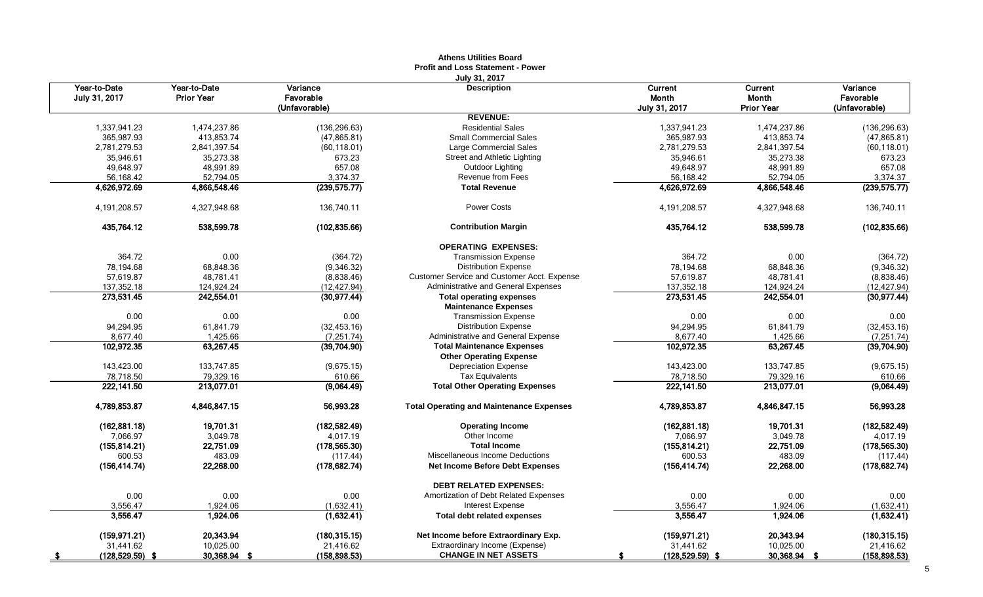|                    |                   |                     | <b>Profit and Loss Statement - Power</b>                       |                    |                   |               |
|--------------------|-------------------|---------------------|----------------------------------------------------------------|--------------------|-------------------|---------------|
| Year-to-Date       | Year-to-Date      | Variance            | July 31, 2017<br><b>Description</b>                            | Current            | Current           | Variance      |
| July 31, 2017      | <b>Prior Year</b> | Favorable           |                                                                | Month              | <b>Month</b>      | Favorable     |
|                    |                   | (Unfavorable)       |                                                                | July 31, 2017      | <b>Prior Year</b> | (Unfavorable) |
|                    |                   |                     | <b>REVENUE:</b>                                                |                    |                   |               |
| 1,337,941.23       | 1,474,237.86      | (136, 296.63)       | <b>Residential Sales</b>                                       | 1,337,941.23       | 1,474,237.86      | (136, 296.63) |
| 365,987.93         | 413,853.74        | (47, 865.81)        | <b>Small Commercial Sales</b>                                  | 365,987.93         | 413,853.74        | (47, 865.81)  |
| 2,781,279.53       | 2,841,397.54      | (60, 118.01)        | Large Commercial Sales                                         | 2,781,279.53       | 2,841,397.54      | (60, 118.01)  |
| 35,946.61          | 35,273.38         | 673.23              | Street and Athletic Lighting                                   | 35,946.61          | 35,273.38         | 673.23        |
| 49,648.97          | 48,991.89         | 657.08              | Outdoor Lighting                                               | 49,648.97          | 48,991.89         | 657.08        |
| 56,168.42          | 52,794.05         | 3,374.37            | Revenue from Fees                                              | 56,168.42          | 52,794.05         | 3,374.37      |
| 4,626,972.69       | 4,866,548.46      | (239, 575.77)       | <b>Total Revenue</b>                                           | 4,626,972.69       | 4,866,548.46      | (239, 575.77) |
| 4,191,208.57       | 4,327,948.68      | 136,740.11          | <b>Power Costs</b>                                             | 4,191,208.57       | 4,327,948.68      | 136,740.11    |
| 435,764.12         | 538,599.78        | (102, 835.66)       | <b>Contribution Margin</b>                                     | 435,764.12         | 538,599.78        | (102, 835.66) |
|                    |                   |                     | <b>OPERATING EXPENSES:</b>                                     |                    |                   |               |
| 364.72             | 0.00              | (364.72)            | <b>Transmission Expense</b>                                    | 364.72             | 0.00              | (364.72)      |
| 78,194.68          | 68,848.36         | (9,346.32)          | <b>Distribution Expense</b>                                    | 78,194.68          | 68,848.36         | (9,346.32)    |
| 57,619.87          | 48,781.41         | (8,838.46)          | Customer Service and Customer Acct. Expense                    | 57,619.87          | 48,781.41         | (8,838.46)    |
| 137,352.18         | 124,924.24        | (12, 427.94)        | <b>Administrative and General Expenses</b>                     | 137,352.18         | 124,924.24        | (12, 427.94)  |
| 273,531.45         | 242,554.01        | (30, 977.44)        | <b>Total operating expenses</b><br><b>Maintenance Expenses</b> | 273,531.45         | 242,554.01        | (30, 977.44)  |
| 0.00               | 0.00              | 0.00                | <b>Transmission Expense</b>                                    | 0.00               | 0.00              | 0.00          |
| 94,294.95          | 61,841.79         | (32, 453.16)        | <b>Distribution Expense</b>                                    | 94,294.95          | 61,841.79         | (32, 453.16)  |
| 8,677.40           | 1,425.66          | (7, 251.74)         | Administrative and General Expense                             | 8,677.40           | 1,425.66          | (7, 251.74)   |
| 102,972.35         | 63,267.45         | (39,704.90)         | <b>Total Maintenance Expenses</b>                              | 102,972.35         | 63,267.45         | (39,704.90)   |
|                    |                   |                     | <b>Other Operating Expense</b>                                 |                    |                   |               |
| 143,423.00         | 133,747.85        | (9,675.15)          | <b>Depreciation Expense</b>                                    | 143,423.00         | 133,747.85        | (9,675.15)    |
| 78,718.50          | 79,329.16         | 610.66              | <b>Tax Equivalents</b>                                         | 78,718.50          | 79,329.16         | 610.66        |
| 222,141.50         | 213,077.01        | (9,064.49)          | <b>Total Other Operating Expenses</b>                          | 222,141.50         | 213,077.01        | (9,064.49)    |
| 4,789,853.87       | 4,846,847.15      | 56,993.28           | <b>Total Operating and Maintenance Expenses</b>                | 4,789,853.87       | 4,846,847.15      | 56,993.28     |
| (162, 881.18)      | 19,701.31         | (182, 582.49)       | <b>Operating Income</b>                                        | (162, 881.18)      | 19,701.31         | (182, 582.49) |
| 7,066.97           | 3,049.78          | 4,017.19            | Other Income                                                   | 7,066.97           | 3,049.78          | 4,017.19      |
| (155, 814.21)      | 22,751.09         | (178.565.30)        | <b>Total Income</b>                                            | (155, 814.21)      | 22,751.09         | (178, 565.30) |
| 600.53             | 483.09            | (117.44)            | Miscellaneous Income Deductions                                | 600.53             | 483.09            | (117.44)      |
| (156, 414.74)      | 22,268.00         | (178, 682.74)       | <b>Net Income Before Debt Expenses</b>                         | (156, 414.74)      | 22,268.00         | (178, 682.74) |
|                    |                   |                     | <b>DEBT RELATED EXPENSES:</b>                                  |                    |                   |               |
| 0.00               | 0.00              | 0.00                | Amortization of Debt Related Expenses                          | 0.00               | 0.00              | 0.00          |
| 3,556.47           | 1,924.06          | (1,632.41)          | <b>Interest Expense</b>                                        | 3,556.47           | 1,924.06          | (1,632.41)    |
| 3,556.47           | 1,924.06          | (1,632.41)          | <b>Total debt related expenses</b>                             | 3,556.47           | 1,924.06          | (1,632.41)    |
| (159, 971.21)      | 20,343.94         | (180, 315, 15)      | Net Income before Extraordinary Exp.                           | (159, 971.21)      | 20.343.94         | (180, 315.15) |
| 31,441.62          | 10,025.00         | 21,416.62           | Extraordinary Income (Expense)                                 | 31,441.62          | 10,025.00         | 21,416.62     |
| $(128, 529.59)$ \$ | 30,368.94 \$      | <u>(158,898.53)</u> | <b>CHANGE IN NET ASSETS</b>                                    | $(128, 529.59)$ \$ | 30,368.94 \$      | (158, 898.53) |

# **Athens Utilities Board**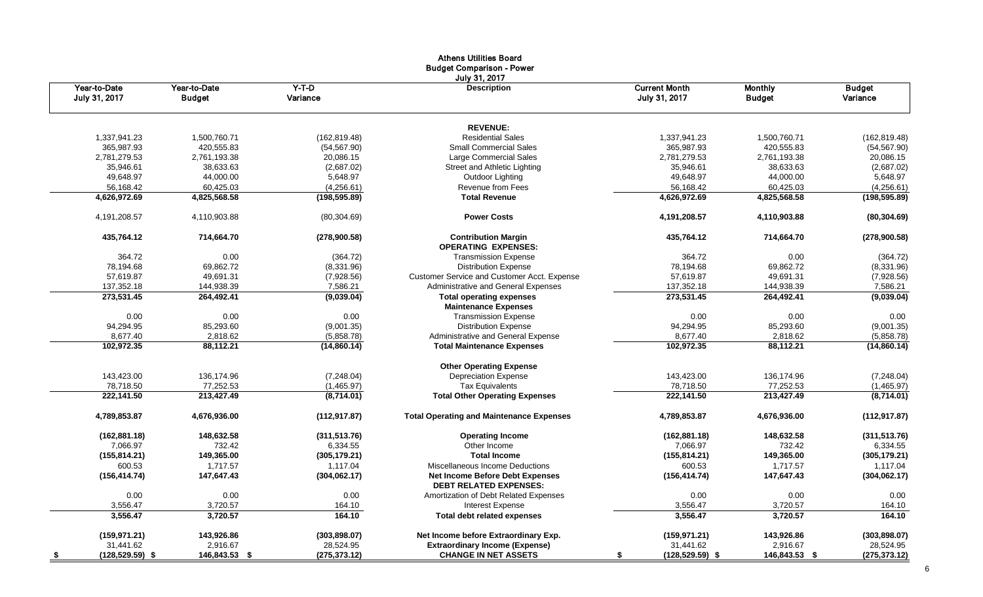|                               |                               |                     | Athens Utilities Board<br><b>Budget Comparison - Power</b>              |                                       |                                 |                           |
|-------------------------------|-------------------------------|---------------------|-------------------------------------------------------------------------|---------------------------------------|---------------------------------|---------------------------|
| Year-to-Date<br>July 31, 2017 | Year-to-Date<br><b>Budget</b> | $Y-T-D$<br>Variance | July 31, 2017<br><b>Description</b>                                     | <b>Current Month</b><br>July 31, 2017 | <b>Monthly</b><br><b>Budget</b> | <b>Budget</b><br>Variance |
|                               |                               |                     | <b>REVENUE:</b>                                                         |                                       |                                 |                           |
| 1,337,941.23                  | 1,500,760.71                  | (162, 819.48)       | <b>Residential Sales</b>                                                | 1,337,941.23                          | 1,500,760.71                    | (162, 819.48)             |
| 365,987.93                    | 420,555.83                    | (54, 567.90)        | <b>Small Commercial Sales</b>                                           | 365,987.93                            | 420,555.83                      | (54, 567.90)              |
| 2,781,279.53                  | 2,761,193.38                  | 20,086.15           | Large Commercial Sales                                                  | 2,781,279.53                          | 2,761,193.38                    | 20,086.15                 |
| 35,946.61                     | 38,633.63                     | (2,687.02)          | Street and Athletic Lighting                                            | 35,946.61                             | 38,633.63                       | (2,687.02)                |
| 49,648.97                     | 44,000.00                     | 5,648.97            | Outdoor Lighting                                                        | 49,648.97                             | 44,000.00                       | 5,648.97                  |
| 56,168.42                     | 60,425.03                     | (4,256.61)          | Revenue from Fees                                                       | 56,168.42                             | 60,425.03                       | (4,256.61)                |
| 4,626,972.69                  | 4,825,568.58                  | (198, 595.89)       | <b>Total Revenue</b>                                                    | 4,626,972.69                          | 4,825,568.58                    | (198, 595.89)             |
| 4, 191, 208. 57               | 4,110,903.88                  | (80, 304.69)        | <b>Power Costs</b>                                                      | 4,191,208.57                          | 4,110,903.88                    | (80, 304.69)              |
| 435,764.12                    | 714,664.70                    | (278,900.58)        | <b>Contribution Margin</b><br><b>OPERATING EXPENSES:</b>                | 435,764.12                            | 714,664.70                      | (278,900.58)              |
| 364.72                        | 0.00                          | (364.72)            | <b>Transmission Expense</b>                                             | 364.72                                | 0.00                            | (364.72)                  |
| 78,194.68                     | 69,862.72                     | (8,331.96)          | <b>Distribution Expense</b>                                             | 78,194.68                             | 69,862.72                       | (8,331.96)                |
| 57,619.87                     | 49,691.31                     | (7,928.56)          | Customer Service and Customer Acct. Expense                             | 57,619.87                             | 49,691.31                       | (7,928.56)                |
| 137,352.18                    | 144,938.39                    | 7,586.21            | Administrative and General Expenses                                     | 137,352.18                            | 144,938.39                      | 7,586.21                  |
| 273,531.45                    | 264,492.41                    | (9,039.04)          | <b>Total operating expenses</b>                                         | 273,531.45                            | 264,492.41                      | (9,039.04)                |
|                               |                               |                     | <b>Maintenance Expenses</b>                                             |                                       |                                 |                           |
| 0.00                          | 0.00                          | 0.00                | <b>Transmission Expense</b>                                             | 0.00                                  | 0.00                            | 0.00                      |
| 94,294.95                     | 85,293.60                     | (9,001.35)          | <b>Distribution Expense</b>                                             | 94,294.95                             | 85,293.60                       | (9,001.35)                |
| 8,677.40                      | 2,818.62                      | (5,858.78)          | Administrative and General Expense                                      | 8,677.40                              | 2,818.62                        | (5,858.78)                |
| 102,972.35                    | 88,112.21                     | (14, 860.14)        | <b>Total Maintenance Expenses</b>                                       | 102,972.35                            | 88,112.21                       | (14,860.14)               |
|                               |                               |                     | <b>Other Operating Expense</b>                                          |                                       |                                 |                           |
| 143,423.00                    | 136,174.96                    | (7,248.04)          | <b>Depreciation Expense</b>                                             | 143,423.00                            | 136,174.96                      | (7,248.04)                |
| 78,718.50                     | 77,252.53                     | (1,465.97)          | <b>Tax Equivalents</b>                                                  | 78,718.50                             | 77,252.53                       | (1,465.97)                |
| 222,141.50                    | 213,427.49                    | (8,714.01)          | <b>Total Other Operating Expenses</b>                                   | 222,141.50                            | 213,427.49                      | (8,714.01)                |
| 4,789,853.87                  | 4,676,936.00                  | (112, 917.87)       | <b>Total Operating and Maintenance Expenses</b>                         | 4,789,853.87                          | 4,676,936.00                    | (112, 917.87)             |
| (162, 881.18)                 | 148,632.58                    | (311, 513.76)       | <b>Operating Income</b>                                                 | (162, 881.18)                         | 148,632.58                      | (311, 513.76)             |
| 7,066.97                      | 732.42                        | 6,334.55            | Other Income                                                            | 7,066.97                              | 732.42                          | 6,334.55                  |
| (155, 814.21)                 | 149,365.00                    | (305, 179.21)       | <b>Total Income</b>                                                     | (155, 814.21)                         | 149,365.00                      | (305, 179.21)             |
| 600.53                        | 1,717.57                      | 1,117.04            | Miscellaneous Income Deductions                                         | 600.53                                | 1,717.57                        | 1,117.04                  |
| (156, 414.74)                 | 147,647.43                    | (304, 062.17)       | <b>Net Income Before Debt Expenses</b><br><b>DEBT RELATED EXPENSES:</b> | (156, 414.74)                         | 147,647.43                      | (304,062.17)              |
| 0.00                          | 0.00                          | 0.00                | Amortization of Debt Related Expenses                                   | 0.00                                  | 0.00                            | 0.00                      |
| 3,556.47                      | 3,720.57                      | 164.10              | <b>Interest Expense</b>                                                 | 3,556.47                              | 3,720.57                        | 164.10                    |
| 3,556.47                      | 3,720.57                      | 164.10              | <b>Total debt related expenses</b>                                      | 3,556.47                              | 3,720.57                        | 164.10                    |
| (159, 971.21)                 | 143,926.86                    | (303, 898.07)       | Net Income before Extraordinary Exp.                                    | (159, 971.21)                         | 143,926.86                      | (303, 898.07)             |
| 31,441.62                     | 2,916.67                      | 28,524.95           | <b>Extraordinary Income (Expense)</b>                                   | 31,441.62                             | 2,916.67                        | 28,524.95                 |
| (128,529.59) \$<br>≗          | 146,843.53 \$                 | (275, 373.12)       | <b>CHANGE IN NET ASSETS</b>                                             | $(128, 529.59)$ \$<br>5               | 146,843.53 \$                   | (275,373.12)              |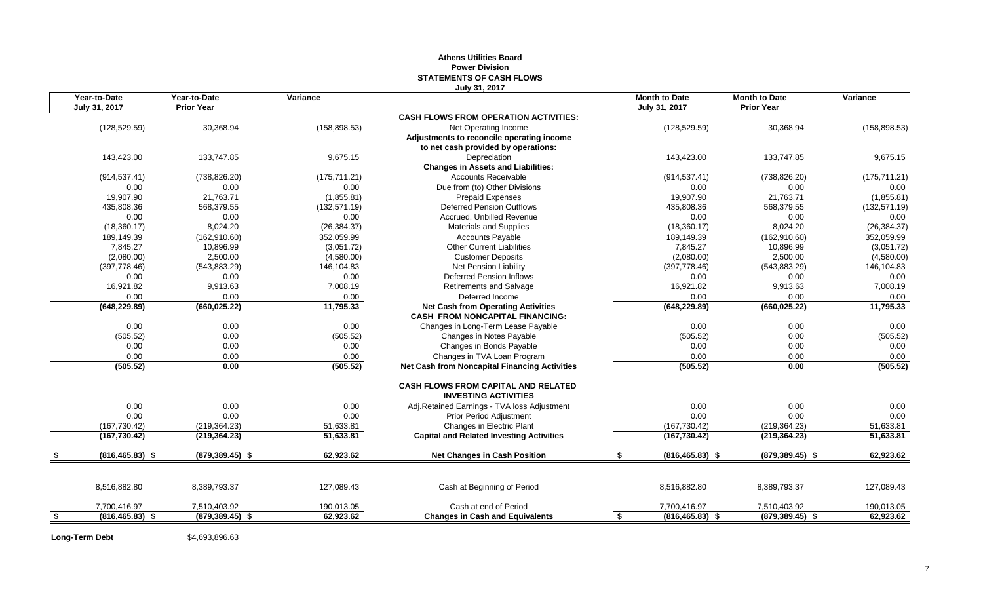#### **Athens Utilities Board Power Division STATEMENTS OF CASH FLOWS July 31, 2017**

| Year-to-Date             | Year-to-Date       | Variance      |                                                                                     | <b>Month to Date</b>     | <b>Month to Date</b> | Variance      |
|--------------------------|--------------------|---------------|-------------------------------------------------------------------------------------|--------------------------|----------------------|---------------|
| July 31, 2017            | <b>Prior Year</b>  |               |                                                                                     | July 31, 2017            | <b>Prior Year</b>    |               |
|                          |                    |               | <b>CASH FLOWS FROM OPERATION ACTIVITIES:</b>                                        |                          |                      |               |
| (128, 529.59)            | 30,368.94          | (158, 898.53) | Net Operating Income                                                                | (128, 529.59)            | 30,368.94            | (158, 898.53) |
|                          |                    |               | Adjustments to reconcile operating income                                           |                          |                      |               |
|                          |                    |               | to net cash provided by operations:                                                 |                          |                      |               |
| 143,423.00               | 133,747.85         | 9,675.15      | Depreciation                                                                        | 143,423.00               | 133,747.85           | 9,675.15      |
|                          |                    |               | <b>Changes in Assets and Liabilities:</b>                                           |                          |                      |               |
| (914, 537.41)            | (738, 826.20)      | (175, 711.21) | <b>Accounts Receivable</b>                                                          | (914, 537.41)            | (738, 826.20)        | (175, 711.21) |
| 0.00                     | 0.00               | 0.00          | Due from (to) Other Divisions                                                       | 0.00                     | 0.00                 | 0.00          |
| 19,907.90                | 21,763.71          | (1,855.81)    | <b>Prepaid Expenses</b>                                                             | 19,907.90                | 21,763.71            | (1,855.81)    |
| 435,808.36               | 568,379.55         | (132, 571.19) | <b>Deferred Pension Outflows</b>                                                    | 435,808.36               | 568,379.55           | (132, 571.19) |
| 0.00                     | 0.00               | 0.00          | Accrued, Unbilled Revenue                                                           | 0.00                     | 0.00                 | 0.00          |
| (18,360.17)              | 8,024.20           | (26, 384.37)  | <b>Materials and Supplies</b>                                                       | (18,360.17)              | 8,024.20             | (26, 384.37)  |
| 189,149.39               | (162, 910.60)      | 352,059.99    | <b>Accounts Payable</b>                                                             | 189,149.39               | (162, 910.60)        | 352,059.99    |
| 7,845.27                 | 10,896.99          | (3,051.72)    | <b>Other Current Liabilities</b>                                                    | 7,845.27                 | 10,896.99            | (3,051.72)    |
| (2,080.00)               | 2,500.00           | (4,580.00)    | <b>Customer Deposits</b>                                                            | (2,080.00)               | 2,500.00             | (4,580.00)    |
| (397, 778.46)            | (543, 883.29)      | 146,104.83    | Net Pension Liability                                                               | (397, 778.46)            | (543, 883.29)        | 146,104.83    |
| 0.00                     | 0.00               | 0.00          | <b>Deferred Pension Inflows</b>                                                     | 0.00                     | 0.00                 | 0.00          |
| 16,921.82                | 9,913.63           | 7,008.19      | <b>Retirements and Salvage</b>                                                      | 16,921.82                | 9,913.63             | 7,008.19      |
| 0.00                     | 0.00               | 0.00          | Deferred Income                                                                     | 0.00                     | 0.00                 | 0.00          |
| (648, 229.89)            | (660, 025.22)      | 11,795.33     | <b>Net Cash from Operating Activities</b><br><b>CASH FROM NONCAPITAL FINANCING:</b> | (648, 229.89)            | (660, 025.22)        | 11,795.33     |
| 0.00                     | 0.00               | 0.00          | Changes in Long-Term Lease Payable                                                  | 0.00                     | 0.00                 | 0.00          |
| (505.52)                 | 0.00               | (505.52)      | Changes in Notes Payable                                                            | (505.52)                 | 0.00                 | (505.52)      |
| 0.00                     | 0.00               | 0.00          | Changes in Bonds Payable                                                            | 0.00                     | 0.00                 | 0.00          |
| 0.00                     | 0.00               | 0.00          | Changes in TVA Loan Program                                                         | 0.00                     | 0.00                 | 0.00          |
| (505.52)                 | 0.00               | (505.52)      | <b>Net Cash from Noncapital Financing Activities</b>                                | (505.52)                 | 0.00                 | (505.52)      |
|                          |                    |               | <b>CASH FLOWS FROM CAPITAL AND RELATED</b><br><b>INVESTING ACTIVITIES</b>           |                          |                      |               |
| 0.00                     | 0.00               | 0.00          | Adj.Retained Earnings - TVA loss Adjustment                                         | 0.00                     | 0.00                 | 0.00          |
| 0.00                     | 0.00               | 0.00          | Prior Period Adjustment                                                             | 0.00                     | 0.00                 | 0.00          |
| (167, 730.42)            | (219, 364.23)      | 51,633.81     | Changes in Electric Plant                                                           | (167, 730.42)            | (219, 364.23)        | 51,633.81     |
| (167, 730.42)            | (219, 364.23)      | 51,633.81     | <b>Capital and Related Investing Activities</b>                                     | (167, 730.42)            | (219, 364.23)        | 51,633.81     |
| $(816, 465.83)$ \$       | $(879, 389.45)$ \$ | 62,923.62     | <b>Net Changes in Cash Position</b>                                                 | $(816, 465.83)$ \$       | $(879, 389.45)$ \$   | 62,923.62     |
|                          |                    |               |                                                                                     |                          |                      |               |
| 8,516,882.80             | 8,389,793.37       | 127,089.43    | Cash at Beginning of Period                                                         | 8,516,882.80             | 8,389,793.37         | 127,089.43    |
| 7,700,416.97             | 7,510,403.92       | 190,013.05    | Cash at end of Period                                                               | 7,700,416.97             | 7,510,403.92         | 190,013.05    |
| \$<br>$(816, 465.83)$ \$ | $(879, 389.45)$ \$ | 62,923.62     | <b>Changes in Cash and Equivalents</b>                                              | $(816, 465.83)$ \$<br>\$ | $(879, 389.45)$ \$   | 62,923.62     |

Long-Term Debt \$4,693,896.63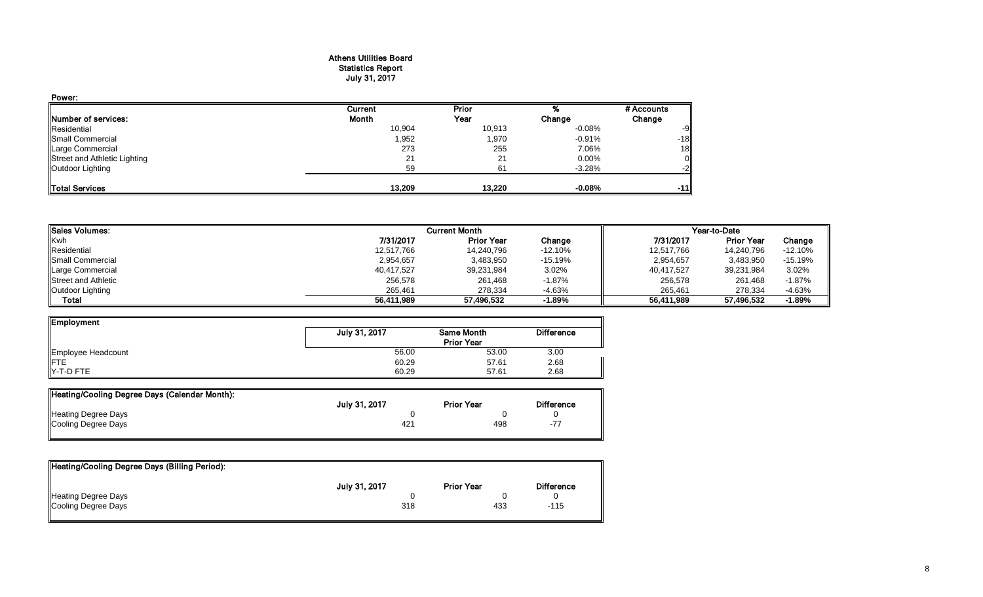#### Athens Utilities Board Statistics Report July 31, 2017

| Power:                       |         |        |           |            |
|------------------------------|---------|--------|-----------|------------|
|                              | Current | Prior  |           | # Accounts |
| Number of services:          | Month   | Year   | Change    | Change     |
| Residential                  | 10,904  | 10,913 | $-0.08%$  | -9         |
| Small Commercial             | 1,952   | 1,970  | $-0.91\%$ | $-18$      |
| Large Commercial             | 273     | 255    | 7.06%     | 18         |
| Street and Athletic Lighting | 21      | 21     | 0.00%     |            |
| Outdoor Lighting             | 59      | 61     | $-3.28%$  |            |
| <b>Total Services</b>        | 13.209  | 13.220 | $-0.08%$  | $-11$      |

| <b>Sales Volumes:</b>      | <b>Current Month</b> |                   |           | Year-to-Date |                   |           |
|----------------------------|----------------------|-------------------|-----------|--------------|-------------------|-----------|
| Kwh                        | 7/31/2017            | <b>Prior Year</b> | Change    | 7/31/2017    | <b>Prior Year</b> | Change    |
| Residential                | 12,517,766           | 14,240,796        | $-12.10%$ | 12,517,766   | 14,240,796        | $-12.10%$ |
| <b>I</b> Small Commercial  | 2,954,657            | 3,483,950         | -15.19%   | 2,954,657    | 3,483,950         | $-15.19%$ |
| Large Commercial           | 40,417,527           | 39,231,984        | 3.02%     | 40,417,527   | 39,231,984        | 3.02%     |
| <b>Street and Athletic</b> | 256,578              | 261,468           | $-1.87\%$ | 256,578      | 261.468           | $-1.87%$  |
| Outdoor Lighting           | 265.461              | 278,334           | $-4.63%$  | 265.461      | 278.334           | $-4.63%$  |
| Total                      | 56,411,989           | 57,496,532        | $-1.89%$  | 56,411,989   | 57,496,532        | $-1.89%$  |

| Employment         |               |                                        |                   |
|--------------------|---------------|----------------------------------------|-------------------|
|                    | July 31, 2017 | <b>Same Month</b><br><b>Prior Year</b> | <b>Difference</b> |
|                    |               |                                        |                   |
| Employee Headcount | 56.00         | 53.00                                  | 3.00              |
| <b>IFTE</b>        | 60.29         | 57.61                                  | 2.68              |
| $Y-T-D$ FTE        | 60.29         | 57.61                                  | 2.68              |

| Heating/Cooling Degree Days (Calendar Month): |                 |                   |                   |
|-----------------------------------------------|-----------------|-------------------|-------------------|
|                                               | July 31, 2017   | <b>Prior Year</b> | <b>Difference</b> |
| <b>Heating Degree Days</b>                    |                 |                   |                   |
| Cooling Degree Days                           | 42 <sup>1</sup> | 498               |                   |

| July 31, 2017 | <b>Prior Year</b> | <b>Difference</b> |
|---------------|-------------------|-------------------|
|               |                   |                   |
| 318           | 433               | -115              |
|               |                   |                   |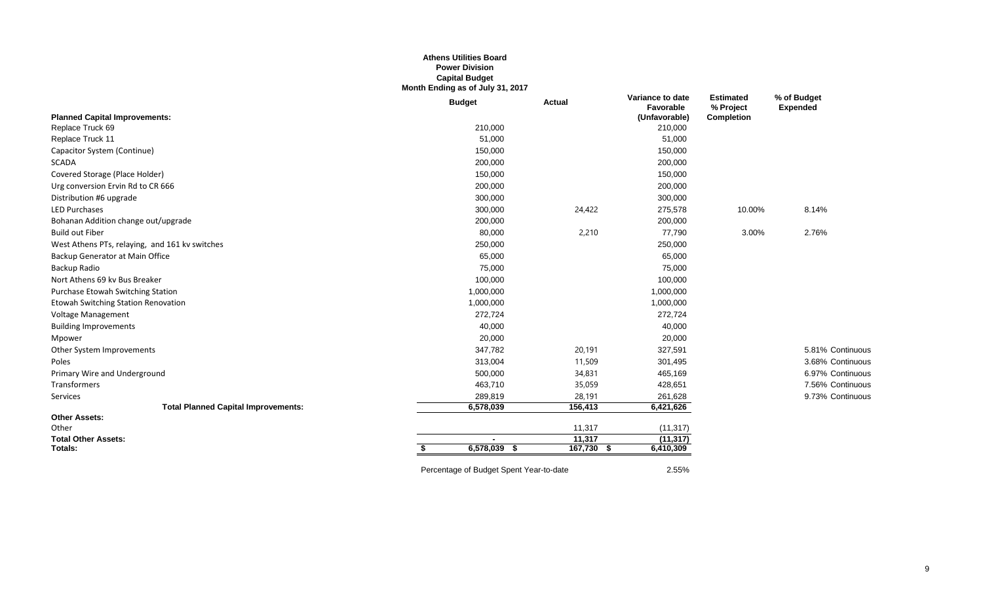#### **Athens Utilities Board Power Division Capital Budget Month Ending as of July 31, 2017**

|                                                | <b>Budget</b>                           | <b>Actual</b> | Variance to date<br>Favorable | <b>Estimated</b><br>% Project | % of Budget<br><b>Expended</b> |
|------------------------------------------------|-----------------------------------------|---------------|-------------------------------|-------------------------------|--------------------------------|
| <b>Planned Capital Improvements:</b>           |                                         |               | (Unfavorable)                 | Completion                    |                                |
| Replace Truck 69                               | 210,000                                 |               | 210,000                       |                               |                                |
| Replace Truck 11                               | 51,000                                  |               | 51,000                        |                               |                                |
| Capacitor System (Continue)                    | 150,000                                 |               | 150,000                       |                               |                                |
| <b>SCADA</b>                                   | 200,000                                 |               | 200,000                       |                               |                                |
| Covered Storage (Place Holder)                 | 150,000                                 |               | 150,000                       |                               |                                |
| Urg conversion Ervin Rd to CR 666              | 200,000                                 |               | 200,000                       |                               |                                |
| Distribution #6 upgrade                        | 300,000                                 |               | 300,000                       |                               |                                |
| <b>LED Purchases</b>                           | 300,000                                 | 24,422        | 275,578                       | 10.00%                        | 8.14%                          |
| Bohanan Addition change out/upgrade            | 200,000                                 |               | 200,000                       |                               |                                |
| <b>Build out Fiber</b>                         | 80,000                                  | 2,210         | 77,790                        | 3.00%                         | 2.76%                          |
| West Athens PTs, relaying, and 161 kv switches | 250,000                                 |               | 250,000                       |                               |                                |
| Backup Generator at Main Office                | 65,000                                  |               | 65,000                        |                               |                                |
| Backup Radio                                   | 75,000                                  |               | 75,000                        |                               |                                |
| Nort Athens 69 kv Bus Breaker                  | 100,000                                 |               | 100,000                       |                               |                                |
| Purchase Etowah Switching Station              | 1,000,000                               |               | 1,000,000                     |                               |                                |
| <b>Etowah Switching Station Renovation</b>     | 1,000,000                               |               | 1,000,000                     |                               |                                |
| Voltage Management                             | 272,724                                 |               | 272,724                       |                               |                                |
| <b>Building Improvements</b>                   | 40,000                                  |               | 40,000                        |                               |                                |
| Mpower                                         | 20,000                                  |               | 20,000                        |                               |                                |
| Other System Improvements                      | 347,782                                 | 20,191        | 327,591                       |                               | 5.81% Continuous               |
| Poles                                          | 313,004                                 | 11,509        | 301,495                       |                               | 3.68% Continuous               |
| Primary Wire and Underground                   | 500,000                                 | 34,831        | 465,169                       |                               | 6.97% Continuous               |
| Transformers                                   | 463,710                                 | 35,059        | 428,651                       |                               | 7.56% Continuous               |
| Services                                       | 289,819                                 | 28,191        | 261,628                       |                               | 9.73% Continuous               |
| <b>Total Planned Capital Improvements:</b>     | 6,578,039                               | 156,413       | 6,421,626                     |                               |                                |
| <b>Other Assets:</b>                           |                                         |               |                               |                               |                                |
| Other                                          |                                         | 11,317        | (11, 317)                     |                               |                                |
| <b>Total Other Assets:</b>                     |                                         | 11,317        | (11, 317)                     |                               |                                |
| Totals:                                        | 6,578,039<br>- \$                       | $167,730$ \$  | 6,410,309                     |                               |                                |
|                                                | Percentage of Budget Spent Year-to-date |               | 2.55%                         |                               |                                |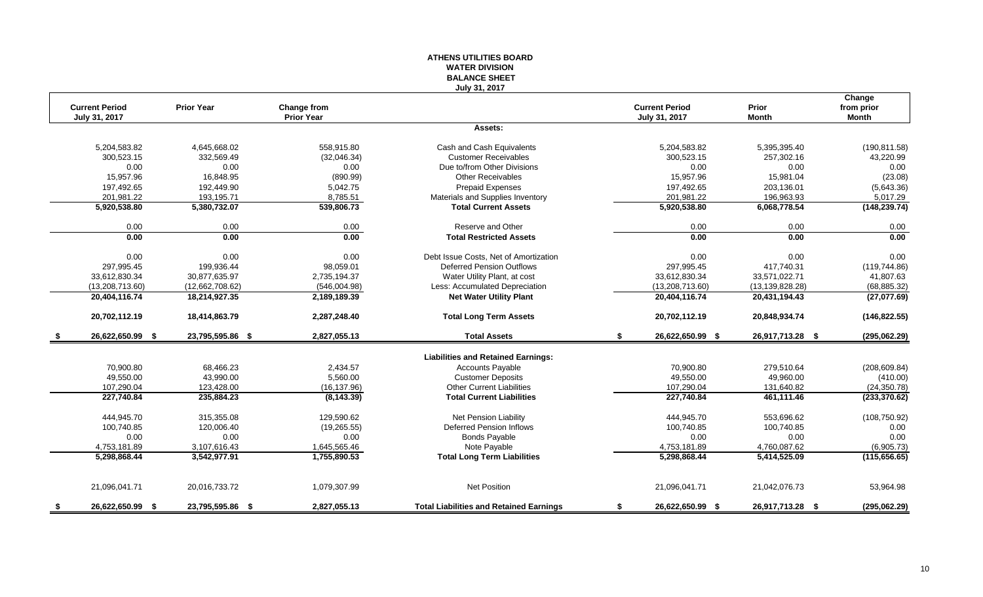#### **ATHENS UTILITIES BOARD WATER DIVISION BALANCE SHEET July 31, 2017**

|      | <b>Current Period</b> | <b>Prior Year</b> | Change from       |                                                | <b>Current Period</b>  | Prior             | Change<br>from prior |
|------|-----------------------|-------------------|-------------------|------------------------------------------------|------------------------|-------------------|----------------------|
|      | July 31, 2017         |                   | <b>Prior Year</b> |                                                | July 31, 2017          | <b>Month</b>      | Month                |
|      |                       |                   |                   | Assets:                                        |                        |                   |                      |
|      | 5,204,583.82          | 4,645,668.02      | 558,915.80        | Cash and Cash Equivalents                      | 5,204,583.82           | 5,395,395.40      | (190, 811.58)        |
|      | 300,523.15            | 332,569.49        | (32,046.34)       | <b>Customer Receivables</b>                    | 300,523.15             | 257,302.16        | 43,220.99            |
|      | 0.00                  | 0.00              | 0.00              | Due to/from Other Divisions                    | 0.00                   | 0.00              | 0.00                 |
|      | 15,957.96             | 16.848.95         | (890.99)          | <b>Other Receivables</b>                       | 15.957.96              | 15.981.04         | (23.08)              |
|      | 197,492.65            | 192,449.90        | 5,042.75          | <b>Prepaid Expenses</b>                        | 197,492.65             | 203,136.01        | (5,643.36)           |
|      | 201,981.22            | 193,195.71        | 8,785.51          | Materials and Supplies Inventory               | 201,981.22             | 196,963.93        | 5,017.29             |
|      | 5,920,538.80          | 5,380,732.07      | 539,806.73        | <b>Total Current Assets</b>                    | 5,920,538.80           | 6,068,778.54      | (148, 239.74)        |
|      | 0.00                  | 0.00              | 0.00              | Reserve and Other                              | 0.00                   | 0.00              | 0.00                 |
|      | 0.00                  | 0.00              | 0.00              | <b>Total Restricted Assets</b>                 | 0.00                   | 0.00              | 0.00                 |
|      | 0.00                  | 0.00              | 0.00              | Debt Issue Costs, Net of Amortization          | 0.00                   | 0.00              | 0.00                 |
|      | 297.995.45            | 199.936.44        | 98.059.01         | <b>Deferred Pension Outflows</b>               | 297.995.45             | 417.740.31        | (119, 744.86)        |
|      | 33,612,830.34         | 30,877,635.97     | 2,735,194.37      | Water Utility Plant, at cost                   | 33,612,830.34          | 33,571,022.71     | 41,807.63            |
|      | (13, 208, 713.60)     | (12,662,708.62)   | (546,004.98)      | Less: Accumulated Depreciation                 | (13, 208, 713.60)      | (13, 139, 828.28) | (68, 885.32)         |
|      | 20,404,116.74         | 18,214,927.35     | 2,189,189.39      | <b>Net Water Utility Plant</b>                 | 20,404,116.74          | 20,431,194.43     | (27,077.69)          |
|      | 20,702,112.19         | 18,414,863.79     | 2,287,248.40      | <b>Total Long Term Assets</b>                  | 20,702,112.19          | 20,848,934.74     | (146, 822.55)        |
| - \$ | 26,622,650.99 \$      | 23,795,595.86 \$  | 2,827,055.13      | <b>Total Assets</b>                            | 26,622,650.99 \$<br>\$ | 26,917,713.28 \$  | (295,062.29)         |
|      |                       |                   |                   | <b>Liabilities and Retained Earnings:</b>      |                        |                   |                      |
|      | 70,900.80             | 68,466.23         | 2,434.57          | Accounts Payable                               | 70,900.80              | 279,510.64        | (208, 609.84)        |
|      | 49,550.00             | 43,990.00         | 5,560.00          | <b>Customer Deposits</b>                       | 49,550.00              | 49,960.00         | (410.00)             |
|      | 107,290.04            | 123,428.00        | (16, 137.96)      | <b>Other Current Liabilities</b>               | 107,290.04             | 131,640.82        | (24, 350.78)         |
|      | 227,740.84            | 235,884.23        | (8, 143.39)       | <b>Total Current Liabilities</b>               | 227,740.84             | 461,111.46        | (233, 370.62)        |
|      | 444,945.70            | 315,355.08        | 129,590.62        | Net Pension Liability                          | 444,945.70             | 553,696.62        | (108, 750.92)        |
|      | 100,740.85            | 120,006.40        | (19, 265.55)      | <b>Deferred Pension Inflows</b>                | 100,740.85             | 100,740.85        | 0.00                 |
|      | 0.00                  | 0.00              | 0.00              | <b>Bonds Payable</b>                           | 0.00                   | 0.00              | 0.00                 |
|      | 4,753,181.89          | 3,107,616.43      | 1,645,565.46      | Note Payable                                   | 4,753,181.89           | 4,760,087.62      | (6,905.73)           |
|      | 5,298,868.44          | 3,542,977.91      | 1,755,890.53      | <b>Total Long Term Liabilities</b>             | 5,298,868.44           | 5,414,525.09      | (115, 656.65)        |
|      | 21,096,041.71         | 20,016,733.72     | 1,079,307.99      | <b>Net Position</b>                            | 21,096,041.71          | 21,042,076.73     | 53,964.98            |
| - \$ | 26,622,650.99 \$      | 23,795,595.86 \$  | 2,827,055.13      | <b>Total Liabilities and Retained Earnings</b> | 26,622,650.99 \$<br>\$ | 26,917,713.28 \$  | (295,062.29)         |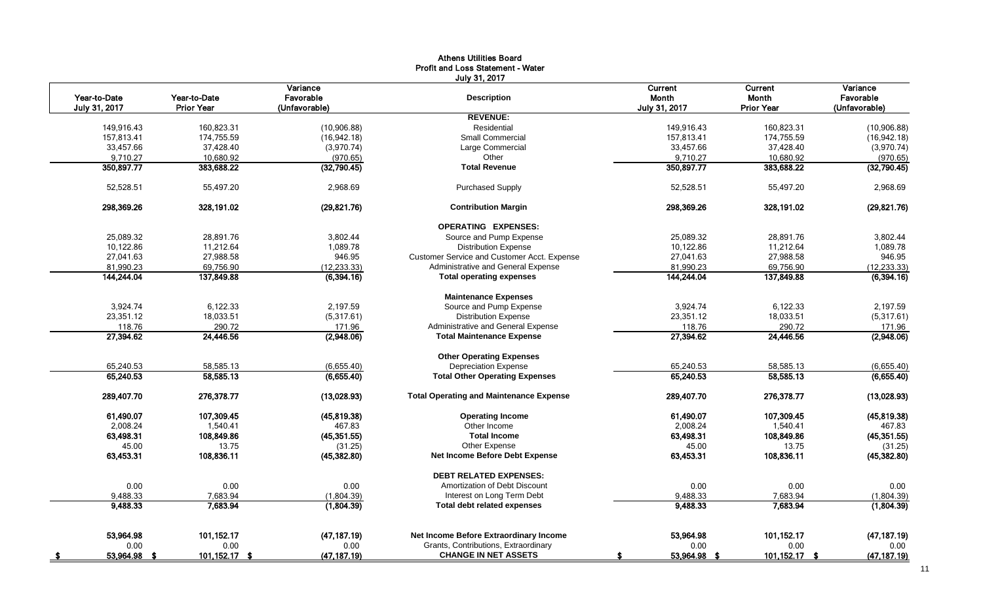|               |                   | Variance      | July 31, 2017                                      | Current       |                   | Variance      |
|---------------|-------------------|---------------|----------------------------------------------------|---------------|-------------------|---------------|
| Year-to-Date  | Year-to-Date      | Favorable     | <b>Description</b>                                 | Month         | Current<br>Month  | Favorable     |
| July 31, 2017 | <b>Prior Year</b> | (Unfavorable) |                                                    | July 31, 2017 | <b>Prior Year</b> | (Unfavorable) |
|               |                   |               | <b>REVENUE:</b>                                    |               |                   |               |
| 149,916.43    | 160,823.31        | (10,906.88)   | Residential                                        | 149,916.43    | 160,823.31        | (10,906.88)   |
| 157,813.41    | 174,755.59        | (16, 942.18)  | <b>Small Commercial</b>                            | 157,813.41    | 174,755.59        | (16,942.18)   |
| 33,457.66     | 37,428.40         | (3,970.74)    | Large Commercial                                   | 33,457.66     | 37,428.40         | (3,970.74)    |
| 9,710.27      | 10,680.92         | (970.65)      | Other                                              | 9,710.27      | 10,680.92         | (970.65)      |
| 350,897.77    | 383,688.22        | (32,790.45)   | <b>Total Revenue</b>                               | 350,897.77    | 383,688.22        | (32,790.45)   |
| 52,528.51     | 55,497.20         | 2,968.69      | <b>Purchased Supply</b>                            | 52,528.51     | 55,497.20         | 2,968.69      |
| 298,369.26    | 328,191.02        | (29, 821.76)  | <b>Contribution Margin</b>                         | 298,369.26    | 328,191.02        | (29, 821.76)  |
|               |                   |               | <b>OPERATING EXPENSES:</b>                         |               |                   |               |
| 25,089.32     | 28.891.76         | 3,802.44      | Source and Pump Expense                            | 25,089.32     | 28.891.76         | 3,802.44      |
| 10,122.86     | 11,212.64         | 1,089.78      | <b>Distribution Expense</b>                        | 10,122.86     | 11,212.64         | 1,089.78      |
| 27,041.63     | 27,988.58         | 946.95        | <b>Customer Service and Customer Acct. Expense</b> | 27,041.63     | 27,988.58         | 946.95        |
| 81,990.23     | 69,756.90         | (12, 233.33)  | Administrative and General Expense                 | 81,990.23     | 69,756.90         | (12, 233.33)  |
| 144,244.04    | 137,849.88        | (6, 394.16)   | <b>Total operating expenses</b>                    | 144,244.04    | 137,849.88        | (6, 394.16)   |
|               |                   |               | <b>Maintenance Expenses</b>                        |               |                   |               |
| 3,924.74      | 6,122.33          | 2.197.59      | Source and Pump Expense                            | 3,924.74      | 6,122.33          | 2,197.59      |
| 23,351.12     | 18,033.51         | (5,317.61)    | <b>Distribution Expense</b>                        | 23,351.12     | 18,033.51         | (5,317.61)    |
| 118.76        | 290.72            | 171.96        | Administrative and General Expense                 | 118.76        | 290.72            | 171.96        |
| 27,394.62     | 24,446.56         | (2,948.06)    | <b>Total Maintenance Expense</b>                   | 27,394.62     | 24,446.56         | (2,948.06)    |
|               |                   |               | <b>Other Operating Expenses</b>                    |               |                   |               |
| 65,240.53     | 58,585.13         | (6,655.40)    | <b>Depreciation Expense</b>                        | 65,240.53     | 58,585.13         | (6,655.40)    |
| 65,240.53     | 58,585.13         | (6,655.40)    | <b>Total Other Operating Expenses</b>              | 65,240.53     | 58,585.13         | (6,655.40)    |
| 289,407.70    | 276,378.77        | (13,028.93)   | <b>Total Operating and Maintenance Expense</b>     | 289,407.70    | 276,378.77        | (13,028.93)   |
| 61,490.07     | 107,309.45        | (45, 819.38)  | <b>Operating Income</b>                            | 61,490.07     | 107,309.45        | (45, 819.38)  |
| 2,008.24      | 1,540.41          | 467.83        | Other Income                                       | 2,008.24      | 1,540.41          | 467.83        |
| 63,498.31     | 108,849.86        | (45, 351.55)  | <b>Total Income</b>                                | 63,498.31     | 108,849.86        | (45, 351.55)  |
| 45.00         | 13.75             | (31.25)       | Other Expense                                      | 45.00         | 13.75             | (31.25)       |
| 63,453.31     | 108,836.11        | (45, 382.80)  | Net Income Before Debt Expense                     | 63,453.31     | 108,836.11        | (45, 382.80)  |
|               |                   |               | <b>DEBT RELATED EXPENSES:</b>                      |               |                   |               |
| 0.00          | 0.00              | 0.00          | Amortization of Debt Discount                      | 0.00          | 0.00              | 0.00          |
| 9,488.33      | 7,683.94          | (1,804.39)    | Interest on Long Term Debt                         | 9,488.33      | 7,683.94          | (1,804.39)    |
| 9,488.33      | 7,683.94          | (1,804.39)    | <b>Total debt related expenses</b>                 | 9,488.33      | 7,683.94          | (1,804.39)    |
| 53,964.98     | 101,152.17        | (47, 187.19)  | Net Income Before Extraordinary Income             | 53,964.98     | 101,152.17        | (47, 187.19)  |
| 0.00          | 0.00              | 0.00          | Grants, Contributions, Extraordinary               | 0.00          | 0.00              | 0.00          |
| 53,964.98 \$  | 101,152.17 \$     | (47, 187.19)  | <b>CHANGE IN NET ASSETS</b>                        | 53,964.98 \$  | 101,152.17 \$     | (47, 187.19)  |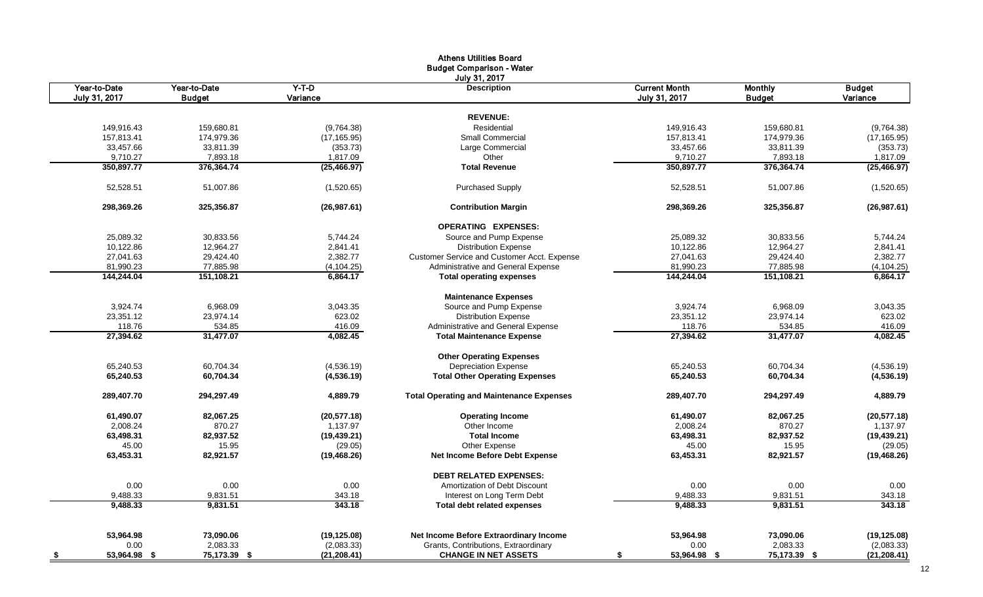|                        |                        |                    | <b>Athens Utilities Board</b>                                          |                        |                        |                          |
|------------------------|------------------------|--------------------|------------------------------------------------------------------------|------------------------|------------------------|--------------------------|
|                        |                        |                    | <b>Budget Comparison - Water</b>                                       |                        |                        |                          |
|                        |                        |                    | July 31, 2017                                                          |                        |                        |                          |
| Year-to-Date           | Year-to-Date           | $Y-T-D$            | <b>Description</b>                                                     | <b>Current Month</b>   | <b>Monthly</b>         | <b>Budget</b>            |
| July 31, 2017          | <b>Budget</b>          | Variance           |                                                                        | July 31, 2017          | <b>Budget</b>          | Variance                 |
|                        |                        |                    | <b>REVENUE:</b>                                                        |                        |                        |                          |
|                        |                        |                    | Residential                                                            |                        |                        |                          |
| 149,916.43             | 159,680.81             | (9,764.38)         | <b>Small Commercial</b>                                                | 149,916.43             | 159,680.81             | (9,764.38)               |
| 157,813.41             | 174,979.36             | (17, 165.95)       |                                                                        | 157,813.41             | 174,979.36             | (17, 165.95)             |
| 33,457.66              | 33,811.39              | (353.73)           | Large Commercial                                                       | 33,457.66              | 33,811.39              | (353.73)                 |
| 9,710.27<br>350,897.77 | 7,893.18<br>376,364.74 | 1,817.09           | Other<br><b>Total Revenue</b>                                          | 9,710.27<br>350,897.77 | 7,893.18<br>376,364.74 | 1,817.09<br>(25, 466.97) |
|                        |                        | (25, 466.97)       |                                                                        |                        |                        |                          |
| 52,528.51              | 51,007.86              | (1,520.65)         | <b>Purchased Supply</b>                                                | 52,528.51              | 51,007.86              | (1,520.65)               |
| 298,369.26             | 325,356.87             | (26, 987.61)       | <b>Contribution Margin</b>                                             | 298,369.26             | 325,356.87             | (26, 987.61)             |
|                        |                        |                    | <b>OPERATING EXPENSES:</b>                                             |                        |                        |                          |
| 25,089.32              | 30,833.56              | 5,744.24           | Source and Pump Expense                                                | 25.089.32              | 30,833.56              | 5,744.24                 |
| 10,122.86              | 12,964.27              | 2,841.41           | <b>Distribution Expense</b>                                            | 10,122.86              | 12,964.27              | 2,841.41                 |
| 27,041.63              | 29,424.40              | 2,382.77           | Customer Service and Customer Acct. Expense                            | 27,041.63              | 29,424.40              | 2,382.77                 |
| 81,990.23              | 77,885.98              | (4, 104.25)        | Administrative and General Expense                                     | 81,990.23              | 77,885.98              | (4, 104.25)              |
| 144,244.04             | 151,108.21             | 6,864.17           | <b>Total operating expenses</b>                                        | 144,244.04             | 151,108.21             | 6,864.17                 |
|                        |                        |                    |                                                                        |                        |                        |                          |
| 3,924.74               |                        |                    | <b>Maintenance Expenses</b>                                            |                        |                        |                          |
|                        | 6,968.09               | 3,043.35           | Source and Pump Expense                                                | 3,924.74               | 6,968.09               | 3,043.35                 |
| 23,351.12              | 23,974.14              | 623.02             | <b>Distribution Expense</b>                                            | 23,351.12              | 23,974.14              | 623.02                   |
| 118.76<br>27,394.62    | 534.85<br>31,477.07    | 416.09<br>4,082.45 | Administrative and General Expense<br><b>Total Maintenance Expense</b> | 118.76<br>27,394.62    | 534.85<br>31,477.07    | 416.09<br>4,082.45       |
|                        |                        |                    |                                                                        |                        |                        |                          |
|                        |                        |                    | <b>Other Operating Expenses</b>                                        |                        |                        |                          |
| 65,240.53              | 60.704.34              | (4,536.19)         | <b>Depreciation Expense</b>                                            | 65.240.53              | 60,704.34              | (4,536.19)               |
| 65,240.53              | 60,704.34              | (4, 536.19)        | <b>Total Other Operating Expenses</b>                                  | 65,240.53              | 60,704.34              | (4, 536.19)              |
| 289,407.70             | 294,297.49             | 4,889.79           | <b>Total Operating and Maintenance Expenses</b>                        | 289,407.70             | 294,297.49             | 4,889.79                 |
| 61,490.07              | 82,067.25              | (20, 577.18)       | <b>Operating Income</b>                                                | 61,490.07              | 82,067.25              | (20, 577.18)             |
| 2,008.24               | 870.27                 | 1,137.97           | Other Income                                                           | 2,008.24               | 870.27                 | 1,137.97                 |
| 63,498.31              | 82,937.52              | (19, 439.21)       | <b>Total Income</b>                                                    | 63,498.31              | 82,937.52              | (19, 439.21)             |
| 45.00                  | 15.95                  | (29.05)            | Other Expense                                                          | 45.00                  | 15.95                  | (29.05)                  |
| 63,453.31              | 82,921.57              | (19, 468.26)       | <b>Net Income Before Debt Expense</b>                                  | 63,453.31              | 82,921.57              | (19, 468.26)             |
|                        |                        |                    | <b>DEBT RELATED EXPENSES:</b>                                          |                        |                        |                          |
| 0.00                   | 0.00                   | 0.00               | Amortization of Debt Discount                                          | 0.00                   | 0.00                   | 0.00                     |
| 9,488.33               | 9,831.51               | 343.18             | Interest on Long Term Debt                                             | 9,488.33               | 9,831.51               | 343.18                   |
| 9,488.33               | 9,831.51               | 343.18             | <b>Total debt related expenses</b>                                     | 9,488.33               | 9,831.51               | 343.18                   |
|                        |                        |                    |                                                                        |                        |                        |                          |
| 53,964.98              | 73,090.06              | (19, 125.08)       | Net Income Before Extraordinary Income                                 | 53,964.98              | 73,090.06              | (19, 125.08)             |
| 0.00                   | 2,083.33               | (2,083.33)         | Grants, Contributions, Extraordinary                                   | 0.00                   | 2,083.33               | (2,083.33)               |
| 53,964.98 \$<br>- \$   | 75,173.39 \$           | (21, 208.41)       | <b>CHANGE IN NET ASSETS</b>                                            | 53,964.98 \$<br>-S     | 75,173.39 \$           | (21, 208.41)             |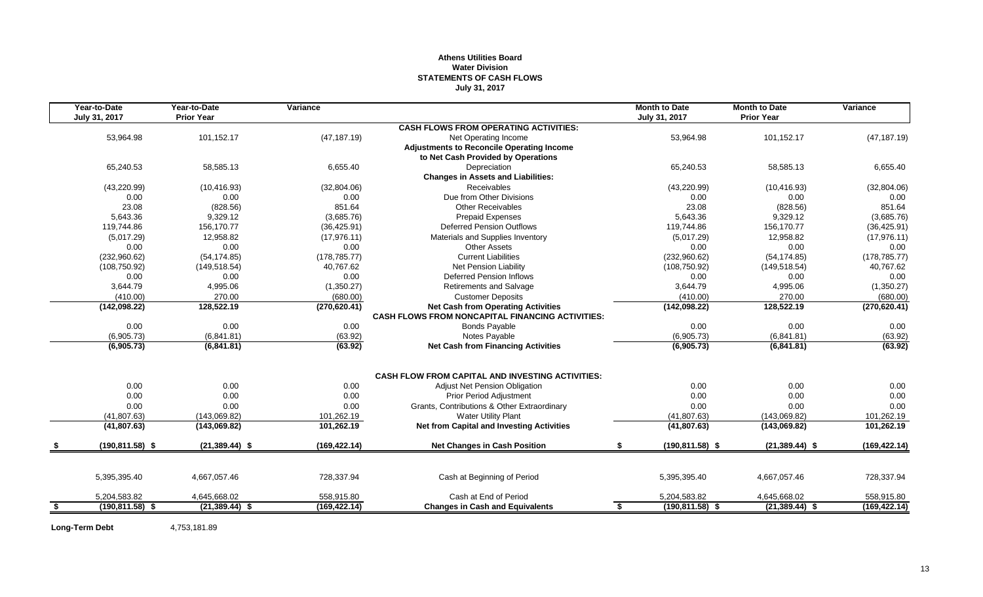#### **Athens Utilities Board Water Division STATEMENTS OF CASH FLOWS July 31, 2017**

|     | Year-to-Date       | Year-to-Date      | Variance      |                                                         | <b>Month to Date</b>       | <b>Month to Date</b> | Variance      |
|-----|--------------------|-------------------|---------------|---------------------------------------------------------|----------------------------|----------------------|---------------|
|     | July 31, 2017      | <b>Prior Year</b> |               |                                                         | July 31, 2017              | <b>Prior Year</b>    |               |
|     |                    |                   |               | <b>CASH FLOWS FROM OPERATING ACTIVITIES:</b>            |                            |                      |               |
|     | 53,964.98          | 101,152.17        | (47, 187.19)  | Net Operating Income                                    | 53,964.98                  | 101,152.17           | (47, 187.19)  |
|     |                    |                   |               | Adjustments to Reconcile Operating Income               |                            |                      |               |
|     |                    |                   |               | to Net Cash Provided by Operations                      |                            |                      |               |
|     | 65,240.53          | 58,585.13         | 6,655.40      | Depreciation                                            | 65,240.53                  | 58,585.13            | 6,655.40      |
|     |                    |                   |               | <b>Changes in Assets and Liabilities:</b>               |                            |                      |               |
|     | (43, 220.99)       | (10, 416.93)      | (32,804.06)   | Receivables                                             | (43, 220.99)               | (10, 416.93)         | (32,804.06)   |
|     | 0.00               | 0.00              | 0.00          | Due from Other Divisions                                | 0.00                       | 0.00                 | 0.00          |
|     | 23.08              | (828.56)          | 851.64        | Other Receivables                                       | 23.08                      | (828.56)             | 851.64        |
|     | 5.643.36           | 9,329.12          | (3,685.76)    | <b>Prepaid Expenses</b>                                 | 5,643.36                   | 9,329.12             | (3,685.76)    |
|     | 119,744.86         | 156,170.77        | (36, 425.91)  | <b>Deferred Pension Outflows</b>                        | 119,744.86                 | 156,170.77           | (36, 425.91)  |
|     | (5,017.29)         | 12,958.82         | (17, 976.11)  | Materials and Supplies Inventory                        | (5,017.29)                 | 12,958.82            | (17, 976.11)  |
|     | 0.00               | 0.00              | 0.00          | <b>Other Assets</b>                                     | 0.00                       | 0.00                 | 0.00          |
|     | (232,960.62)       | (54, 174.85)      | (178, 785.77) | <b>Current Liabilities</b>                              | (232,960.62)               | (54, 174.85)         | (178, 785.77) |
|     | (108, 750.92)      | (149, 518.54)     | 40,767.62     | Net Pension Liability                                   | (108, 750.92)              | (149, 518.54)        | 40,767.62     |
|     | 0.00               | 0.00              | 0.00          | <b>Deferred Pension Inflows</b>                         | 0.00                       | 0.00                 | 0.00          |
|     | 3,644.79           | 4,995.06          | (1,350.27)    | <b>Retirements and Salvage</b>                          | 3,644.79                   | 4,995.06             | (1,350.27)    |
|     | (410.00)           | 270.00            | (680.00)      | <b>Customer Deposits</b>                                | (410.00)                   | 270.00               | (680.00)      |
|     | (142,098.22)       | 128,522.19        | (270, 620.41) | <b>Net Cash from Operating Activities</b>               | (142,098.22)               | 128,522.19           | (270, 620.41) |
|     |                    |                   |               | <b>CASH FLOWS FROM NONCAPITAL FINANCING ACTIVITIES:</b> |                            |                      |               |
|     | 0.00               | 0.00              | 0.00          | <b>Bonds Payable</b>                                    | 0.00                       | 0.00                 | 0.00          |
|     | (6,905.73)         | (6,841.81)        | (63.92)       | Notes Payable                                           | (6,905.73)                 | (6,841.81)           | (63.92)       |
|     | (6,905.73)         | (6,841.81)        | (63.92)       | <b>Net Cash from Financing Activities</b>               | (6,905.73)                 | (6,841.81)           | (63.92)       |
|     |                    |                   |               |                                                         |                            |                      |               |
|     |                    |                   |               | <b>CASH FLOW FROM CAPITAL AND INVESTING ACTIVITIES:</b> |                            |                      |               |
|     | 0.00               | 0.00              | 0.00          | Adjust Net Pension Obligation                           | 0.00                       | 0.00                 | $0.00\,$      |
|     | 0.00               | 0.00              | 0.00          | <b>Prior Period Adjustment</b>                          | 0.00                       | 0.00                 | 0.00          |
|     | 0.00               | 0.00              |               | Grants, Contributions & Other Extraordinary             |                            | 0.00                 | 0.00          |
|     |                    |                   | 0.00          | <b>Water Utility Plant</b>                              | 0.00                       |                      |               |
|     | (41, 807.63)       | (143,069.82)      | 101,262.19    |                                                         | (41, 807.63)               | (143,069.82)         | 101,262.19    |
|     | (41, 807.63)       | (143,069.82)      | 101,262.19    | <b>Net from Capital and Investing Activities</b>        | (41, 807.63)               | (143,069.82)         | 101,262.19    |
|     | $(190, 811.58)$ \$ | $(21, 389.44)$ \$ | (169, 422.14) | <b>Net Changes in Cash Position</b>                     | $(190, 811.58)$ \$<br>\$   | $(21, 389.44)$ \$    | (169, 422.14) |
|     |                    |                   |               |                                                         |                            |                      |               |
|     | 5,395,395.40       | 4,667,057.46      | 728,337.94    | Cash at Beginning of Period                             | 5,395,395.40               | 4,667,057.46         | 728,337.94    |
|     |                    |                   |               |                                                         |                            |                      |               |
|     | 5,204,583.82       | 4,645,668.02      | 558,915.80    | Cash at End of Period                                   | 5,204,583.82               | 4,645,668.02         | 558,915.80    |
| -\$ | $(190, 811.58)$ \$ | $(21, 389.44)$ \$ | (169, 422.14) | <b>Changes in Cash and Equivalents</b>                  | $(190, 811.58)$ \$<br>- \$ | $(21, 389.44)$ \$    | (169, 422.14) |
|     |                    |                   |               |                                                         |                            |                      |               |

**Long-Term Debt** 4,753,181.89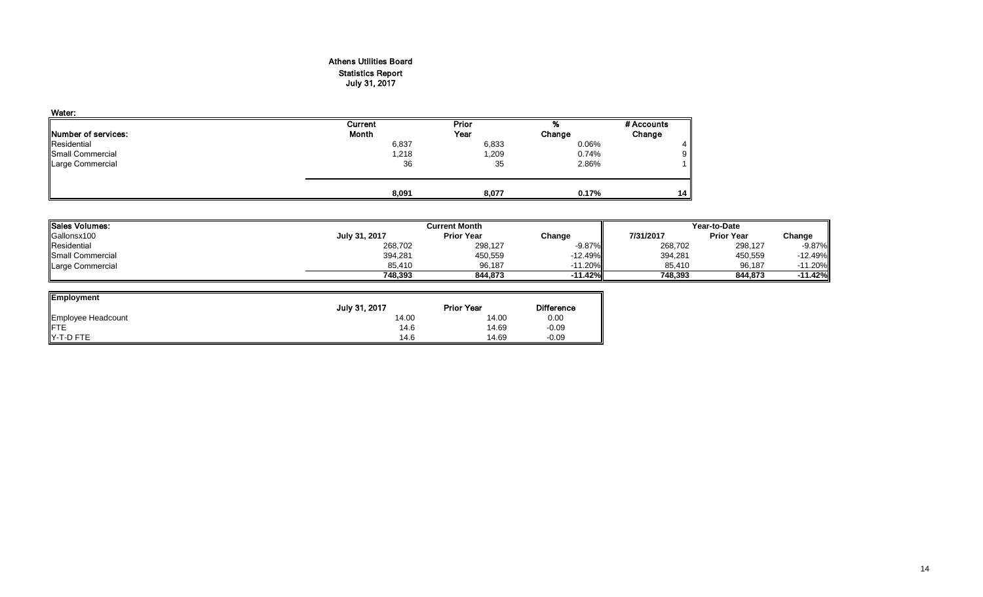#### Athens Utilities Board Statistics Report July 31, 2017

| Water:                      |         |       |        |            |
|-----------------------------|---------|-------|--------|------------|
|                             | Current | Prior | %      | # Accounts |
| <b>INumber of services:</b> | Month   | Year  | Change | Change     |
| Residential                 | 6,837   | 6,833 | 0.06%  | 4          |
| Small Commercial            | 1,218   | l,209 | 0.74%  | 9          |
| Large Commercial            | 36      | 35    | 2.86%  |            |
|                             | 8,091   | 8,077 | 0.17%  | 14         |

| <b>lSales Volumes:</b> |               | <b>Current Month</b> |           |           | Year-to-Date      |           |  |  |
|------------------------|---------------|----------------------|-----------|-----------|-------------------|-----------|--|--|
| Gallonsx100            | July 31, 2017 | <b>Prior Year</b>    | Change    | 7/31/2017 | <b>Prior Year</b> | Change    |  |  |
| Residential            | 268,702       | 298,127              | $-9.87\%$ | 268,702   | 298,127           | $-9.87%$  |  |  |
| Small Commercial       | 394,281       | 450,559              | $-12.49%$ | 394,281   | 450,559           | $-12.49%$ |  |  |
| Large Commercial       | 85.410        | 96.187               | $-11.20%$ | 85.410    | 96,187            | 11.20%    |  |  |
|                        | 748.393       | 844.873              | $-11.42%$ | 748.393   | 844.873           | $-11.42%$ |  |  |

| <b>Employment</b>  |               |                   |                   |
|--------------------|---------------|-------------------|-------------------|
|                    | July 31, 2017 | <b>Prior Year</b> | <b>Difference</b> |
| Employee Headcount | 14.00         | 14.00             | 0.00              |
| FTE<br>Y-T-D FTE   | 14.6          | 14.69             | $-0.09$           |
|                    | 14.6          | 14.69             | $-0.09$           |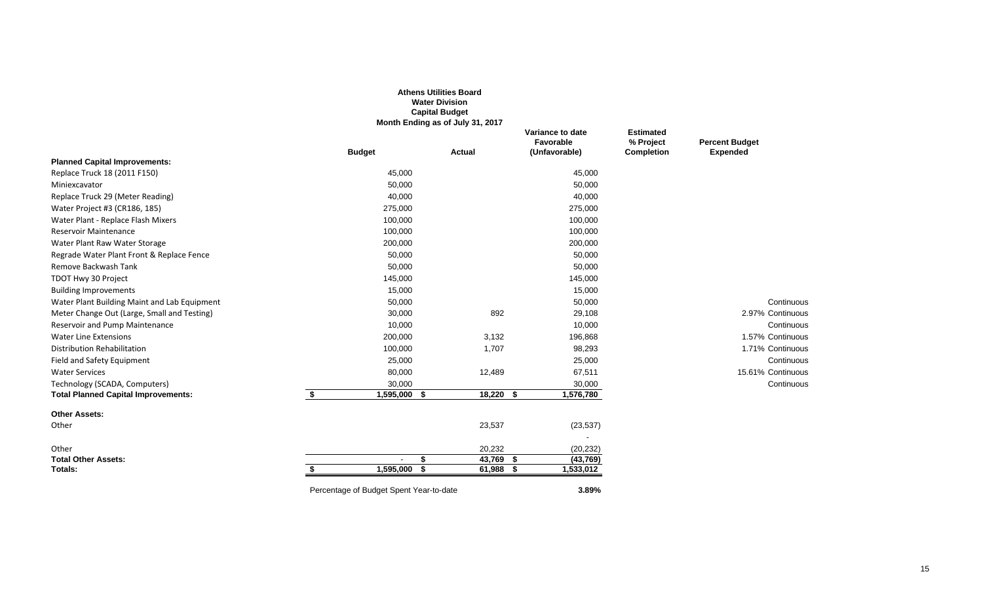|                                              |                                         | <b>Athens Utilities Board</b><br><b>Water Division</b><br><b>Capital Budget</b><br>Month Ending as of July 31, 2017 |                                                |                                                    |                                          |
|----------------------------------------------|-----------------------------------------|---------------------------------------------------------------------------------------------------------------------|------------------------------------------------|----------------------------------------------------|------------------------------------------|
|                                              | <b>Budget</b>                           | <b>Actual</b>                                                                                                       | Variance to date<br>Favorable<br>(Unfavorable) | <b>Estimated</b><br>% Project<br><b>Completion</b> | <b>Percent Budget</b><br><b>Expended</b> |
| <b>Planned Capital Improvements:</b>         |                                         |                                                                                                                     |                                                |                                                    |                                          |
| Replace Truck 18 (2011 F150)                 | 45,000                                  |                                                                                                                     | 45,000                                         |                                                    |                                          |
| Miniexcavator                                | 50,000                                  |                                                                                                                     | 50,000                                         |                                                    |                                          |
| Replace Truck 29 (Meter Reading)             | 40,000                                  |                                                                                                                     | 40,000                                         |                                                    |                                          |
| Water Project #3 (CR186, 185)                | 275,000                                 |                                                                                                                     | 275,000                                        |                                                    |                                          |
| Water Plant - Replace Flash Mixers           | 100,000                                 |                                                                                                                     | 100,000                                        |                                                    |                                          |
| <b>Reservoir Maintenance</b>                 | 100,000                                 |                                                                                                                     | 100,000                                        |                                                    |                                          |
| Water Plant Raw Water Storage                | 200,000                                 |                                                                                                                     | 200,000                                        |                                                    |                                          |
| Regrade Water Plant Front & Replace Fence    | 50,000                                  |                                                                                                                     | 50,000                                         |                                                    |                                          |
| Remove Backwash Tank                         | 50,000                                  |                                                                                                                     | 50,000                                         |                                                    |                                          |
| TDOT Hwy 30 Project                          | 145,000                                 |                                                                                                                     | 145,000                                        |                                                    |                                          |
| <b>Building Improvements</b>                 | 15,000                                  |                                                                                                                     | 15,000                                         |                                                    |                                          |
| Water Plant Building Maint and Lab Equipment | 50,000                                  |                                                                                                                     | 50,000                                         |                                                    | Continuous                               |
| Meter Change Out (Large, Small and Testing)  | 30,000                                  | 892                                                                                                                 | 29,108                                         |                                                    | 2.97% Continuous                         |
| Reservoir and Pump Maintenance               | 10,000                                  |                                                                                                                     | 10,000                                         |                                                    | Continuous                               |
| <b>Water Line Extensions</b>                 | 200,000                                 | 3,132                                                                                                               | 196,868                                        |                                                    | 1.57% Continuous                         |
| <b>Distribution Rehabilitation</b>           | 100,000                                 | 1,707                                                                                                               | 98,293                                         |                                                    | 1.71% Continuous                         |
| Field and Safety Equipment                   | 25,000                                  |                                                                                                                     | 25,000                                         |                                                    | Continuous                               |
| <b>Water Services</b>                        | 80,000                                  | 12,489                                                                                                              | 67,511                                         |                                                    | 15.61% Continuous                        |
| Technology (SCADA, Computers)                | 30,000                                  |                                                                                                                     | 30,000                                         |                                                    | Continuous                               |
| <b>Total Planned Capital Improvements:</b>   | 1,595,000<br>\$<br>- \$                 | $18,220$ \$                                                                                                         | 1,576,780                                      |                                                    |                                          |
| <b>Other Assets:</b>                         |                                         |                                                                                                                     |                                                |                                                    |                                          |
| Other                                        |                                         | 23,537                                                                                                              | (23, 537)                                      |                                                    |                                          |
|                                              |                                         |                                                                                                                     |                                                |                                                    |                                          |
| Other                                        |                                         | 20,232                                                                                                              | (20, 232)                                      |                                                    |                                          |
| <b>Total Other Assets:</b>                   | \$                                      | $43,769$ \$                                                                                                         | (43, 769)                                      |                                                    |                                          |
| Totals:                                      | 1,595,000<br>- \$<br>\$                 | 61,988<br>- \$                                                                                                      | 1,533,012                                      |                                                    |                                          |
|                                              | Percentage of Budget Spent Year-to-date |                                                                                                                     | 3.89%                                          |                                                    |                                          |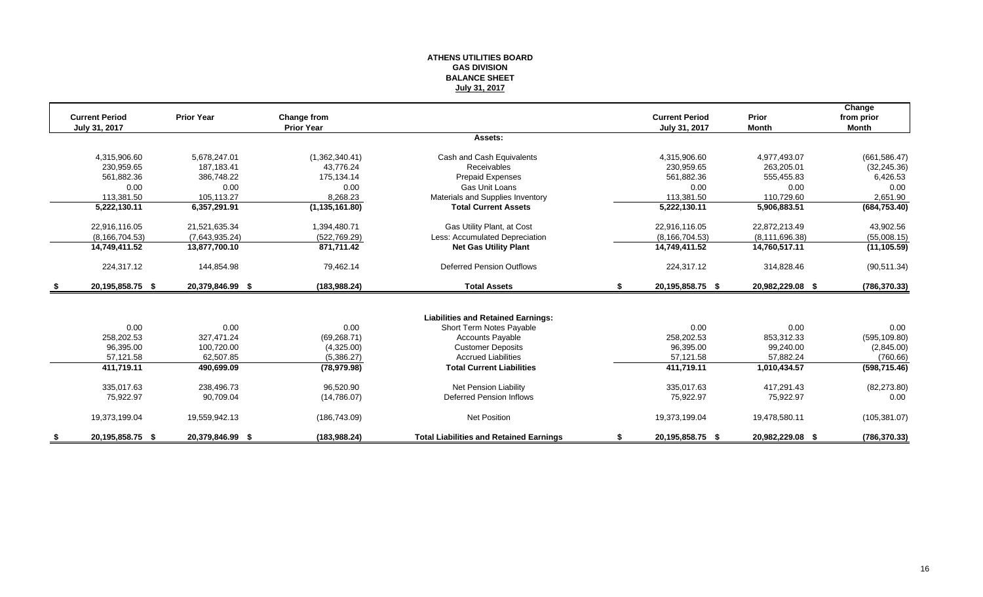#### **ATHENS UTILITIES BOARD GAS DIVISION BALANCE SHEET July 31, 2017**

|      | <b>Current Period</b> | <b>Prior Year</b> | <b>Change from</b> |                                                |    | <b>Current Period</b> | Prior            | Change<br>from prior |
|------|-----------------------|-------------------|--------------------|------------------------------------------------|----|-----------------------|------------------|----------------------|
|      | July 31, 2017         |                   | <b>Prior Year</b>  |                                                |    | July 31, 2017         | <b>Month</b>     | Month                |
|      |                       |                   |                    | Assets:                                        |    |                       |                  |                      |
|      | 4,315,906.60          | 5,678,247.01      | (1,362,340.41)     | Cash and Cash Equivalents                      |    | 4,315,906.60          | 4,977,493.07     | (661, 586.47)        |
|      | 230,959.65            | 187.183.41        | 43.776.24          | <b>Receivables</b>                             |    | 230,959.65            | 263,205.01       | (32, 245.36)         |
|      | 561,882.36            | 386,748.22        | 175.134.14         | <b>Prepaid Expenses</b>                        |    | 561,882.36            | 555,455.83       | 6,426.53             |
|      | 0.00                  | 0.00              | 0.00               | Gas Unit Loans                                 |    | 0.00                  | 0.00             | 0.00                 |
|      | 113.381.50            | 105,113.27        | 8,268.23           | Materials and Supplies Inventory               |    | 113,381.50            | 110.729.60       | 2,651.90             |
|      | 5,222,130.11          | 6,357,291.91      | (1, 135, 161.80)   | <b>Total Current Assets</b>                    |    | 5,222,130.11          | 5,906,883.51     | (684, 753.40)        |
|      | 22,916,116.05         | 21,521,635.34     | 1,394,480.71       | Gas Utility Plant, at Cost                     |    | 22,916,116.05         | 22,872,213.49    | 43,902.56            |
|      | (8, 166, 704.53)      | (7,643,935.24)    | (522, 769.29)      | Less: Accumulated Depreciation                 |    | (8, 166, 704.53)      | (8, 111, 696.38) | (55,008.15)          |
|      | 14,749,411.52         | 13,877,700.10     | 871,711.42         | <b>Net Gas Utility Plant</b>                   |    | 14,749,411.52         | 14,760,517.11    | (11, 105.59)         |
|      | 224,317.12            | 144,854.98        | 79,462.14          | <b>Deferred Pension Outflows</b>               |    | 224,317.12            | 314,828.46       | (90, 511.34)         |
| - \$ | 20,195,858.75 \$      | 20,379,846.99 \$  | (183, 988.24)      | <b>Total Assets</b>                            | S. | 20,195,858.75 \$      | 20,982,229.08 \$ | (786, 370.33)        |
|      |                       |                   |                    |                                                |    |                       |                  |                      |
|      |                       |                   |                    | <b>Liabilities and Retained Earnings:</b>      |    |                       |                  |                      |
|      | 0.00                  | 0.00              | 0.00               | Short Term Notes Payable                       |    | 0.00                  | 0.00             | 0.00                 |
|      | 258,202.53            | 327,471.24        | (69, 268.71)       | <b>Accounts Payable</b>                        |    | 258,202.53            | 853,312.33       | (595, 109.80)        |
|      | 96,395.00             | 100,720.00        | (4,325.00)         | <b>Customer Deposits</b>                       |    | 96,395.00             | 99,240.00        | (2,845.00)           |
|      | 57,121.58             | 62,507.85         | (5,386.27)         | <b>Accrued Liabilities</b>                     |    | 57,121.58             | 57,882.24        | (760.66)             |
|      | 411,719.11            | 490,699.09        | (78, 979.98)       | <b>Total Current Liabilities</b>               |    | 411,719.11            | 1,010,434.57     | (598, 715.46)        |
|      | 335,017.63            | 238,496.73        | 96.520.90          | <b>Net Pension Liability</b>                   |    | 335,017.63            | 417.291.43       | (82, 273.80)         |
|      | 75,922.97             | 90,709.04         | (14,786.07)        | <b>Deferred Pension Inflows</b>                |    | 75,922.97             | 75,922.97        | 0.00                 |
|      | 19,373,199.04         | 19,559,942.13     | (186, 743.09)      | Net Position                                   |    | 19,373,199.04         | 19,478,580.11    | (105, 381.07)        |
|      | 20,195,858.75 \$      | 20,379,846.99 \$  | (183, 988.24)      | <b>Total Liabilities and Retained Earnings</b> |    | 20,195,858.75 \$      | 20,982,229.08 \$ | (786, 370.33)        |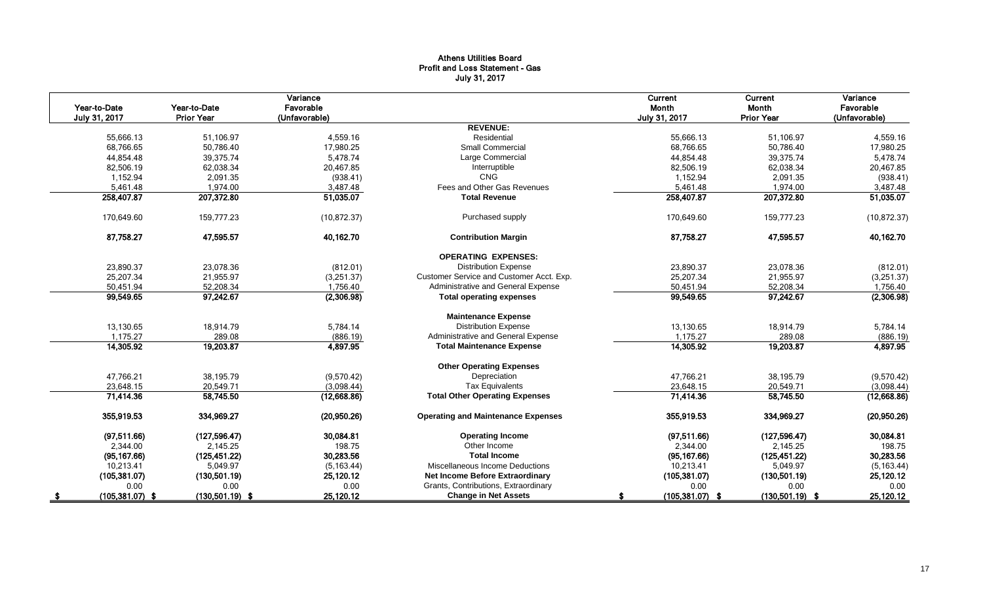#### Athens Utilities Board Profit and Loss Statement - Gas July 31, 2017

| Year-to-Date<br>July 31, 2017 | Year-to-Date<br><b>Prior Year</b> | Variance<br>Favorable<br>(Unfavorable) |                                           | Current<br>Month<br>July 31, 2017 | Current<br>Month<br><b>Prior Year</b> | Variance<br>Favorable<br>(Unfavorable) |
|-------------------------------|-----------------------------------|----------------------------------------|-------------------------------------------|-----------------------------------|---------------------------------------|----------------------------------------|
|                               |                                   |                                        | <b>REVENUE:</b>                           |                                   |                                       |                                        |
| 55,666.13                     | 51.106.97                         | 4,559.16                               | Residential                               | 55,666.13                         | 51.106.97                             | 4,559.16                               |
| 68,766.65                     | 50,786.40                         | 17,980.25                              | <b>Small Commercial</b>                   | 68,766.65                         | 50,786.40                             | 17,980.25                              |
| 44,854.48                     | 39,375.74                         | 5,478.74                               | Large Commercial                          | 44,854.48                         | 39,375.74                             | 5,478.74                               |
| 82,506.19                     | 62,038.34                         | 20,467.85                              | Interruptible                             | 82,506.19                         | 62,038.34                             | 20,467.85                              |
| 1,152.94                      | 2,091.35                          | (938.41)                               | <b>CNG</b>                                | 1,152.94                          | 2,091.35                              | (938.41)                               |
| 5,461.48                      | 1,974.00                          | 3,487.48                               | Fees and Other Gas Revenues               | 5,461.48                          | 1,974.00                              | 3,487.48                               |
| 258,407.87                    | 207,372.80                        | 51,035.07                              | <b>Total Revenue</b>                      | 258,407.87                        | 207,372.80                            | 51,035.07                              |
| 170,649.60                    | 159,777.23                        | (10, 872.37)                           | Purchased supply                          | 170,649.60                        | 159,777.23                            | (10, 872.37)                           |
| 87,758.27                     | 47,595.57                         | 40,162.70                              | <b>Contribution Margin</b>                | 87,758.27                         | 47,595.57                             | 40,162.70                              |
|                               |                                   |                                        | <b>OPERATING EXPENSES:</b>                |                                   |                                       |                                        |
| 23,890.37                     | 23,078.36                         | (812.01)                               | <b>Distribution Expense</b>               | 23,890.37                         | 23,078.36                             | (812.01)                               |
| 25,207.34                     | 21,955.97                         | (3,251.37)                             | Customer Service and Customer Acct. Exp.  | 25,207.34                         | 21,955.97                             | (3,251.37)                             |
| 50,451.94                     | 52,208.34                         | 1,756.40                               | Administrative and General Expense        | 50,451.94                         | 52,208.34                             | 1,756.40                               |
| 99,549.65                     | 97,242.67                         | (2,306.98)                             | <b>Total operating expenses</b>           | 99,549.65                         | 97,242.67                             | (2,306.98)                             |
|                               |                                   |                                        | <b>Maintenance Expense</b>                |                                   |                                       |                                        |
| 13,130.65                     | 18,914.79                         | 5,784.14                               | <b>Distribution Expense</b>               | 13,130.65                         | 18,914.79                             | 5,784.14                               |
| 1,175.27                      | 289.08                            | (886.19)                               | Administrative and General Expense        | 1,175.27                          | 289.08                                | (886.19)                               |
| 14,305.92                     | 19,203.87                         | 4,897.95                               | <b>Total Maintenance Expense</b>          | 14,305.92                         | 19,203.87                             | 4,897.95                               |
|                               |                                   |                                        | <b>Other Operating Expenses</b>           |                                   |                                       |                                        |
| 47,766.21                     | 38,195.79                         | (9,570.42)                             | Depreciation                              | 47,766.21                         | 38,195.79                             | (9,570.42)                             |
| 23,648.15                     | 20,549.71                         | (3,098.44)                             | <b>Tax Equivalents</b>                    | 23,648.15                         | 20,549.71                             | (3,098.44)                             |
| 71,414.36                     | 58,745.50                         | (12,668.86)                            | <b>Total Other Operating Expenses</b>     | 71,414.36                         | 58,745.50                             | (12,668.86)                            |
| 355,919.53                    | 334,969.27                        | (20,950.26)                            | <b>Operating and Maintenance Expenses</b> | 355,919.53                        | 334,969.27                            | (20,950.26)                            |
| (97,511.66)                   | (127, 596.47)                     | 30,084.81                              | <b>Operating Income</b>                   | (97,511.66)                       | (127, 596.47)                         | 30,084.81                              |
| 2,344.00                      | 2,145.25                          | 198.75                                 | Other Income                              | 2,344.00                          | 2,145.25                              | 198.75                                 |
| (95, 167.66)                  | (125, 451.22)                     | 30,283.56                              | <b>Total Income</b>                       | (95, 167.66)                      | (125, 451.22)                         | 30,283.56                              |
| 10,213.41                     | 5,049.97                          | (5, 163.44)                            | Miscellaneous Income Deductions           | 10,213.41                         | 5,049.97                              | (5, 163.44)                            |
| (105, 381.07)                 | (130, 501.19)                     | 25,120.12                              | <b>Net Income Before Extraordinary</b>    | (105, 381.07)                     | (130, 501.19)                         | 25,120.12                              |
| 0.00                          | 0.00                              | 0.00                                   | Grants, Contributions, Extraordinary      | 0.00                              | 0.00                                  | 0.00                                   |
| $(105, 381.07)$ \$            | $(130,501.19)$ \$                 | 25,120.12                              | <b>Change in Net Assets</b>               | $(105, 381.07)$ \$                | $(130,501.19)$ \$                     | 25,120.12                              |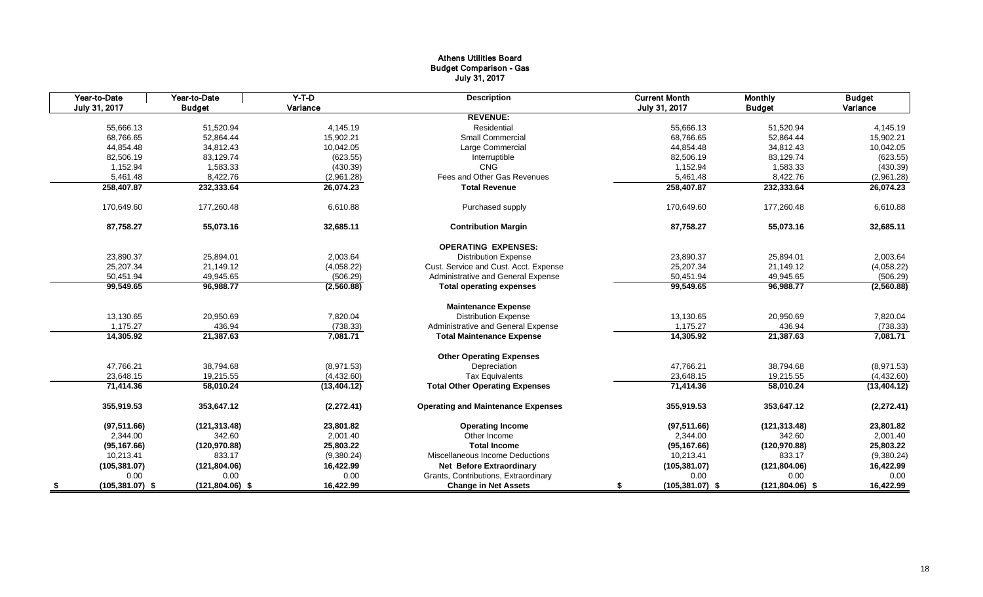#### Athens Utilities Board Budget Comparison - Gas July 31, 2017

|      | Year-to-Date       | Year-to-Date      | $Y-T-D$      | <b>Description</b>                        | <b>Current Month</b>     | <b>Monthly</b>    | <b>Budget</b> |
|------|--------------------|-------------------|--------------|-------------------------------------------|--------------------------|-------------------|---------------|
|      | July 31, 2017      | <b>Budget</b>     | Variance     |                                           | July 31, 2017            | <b>Budget</b>     | Variance      |
|      |                    |                   |              | <b>REVENUE:</b>                           |                          |                   |               |
|      | 55,666.13          | 51,520.94         | 4,145.19     | Residential                               | 55,666.13                | 51,520.94         | 4,145.19      |
|      | 68,766.65          | 52,864.44         | 15,902.21    | <b>Small Commercial</b>                   | 68,766.65                | 52,864.44         | 15,902.21     |
|      | 44,854.48          | 34,812.43         | 10,042.05    | Large Commercial                          | 44,854.48                | 34,812.43         | 10,042.05     |
|      | 82,506.19          | 83,129.74         | (623.55)     | Interruptible                             | 82,506.19                | 83,129.74         | (623.55)      |
|      | 1,152.94           | 1,583.33          | (430.39)     | <b>CNG</b>                                | 1,152.94                 | 1,583.33          | (430.39)      |
|      | 5,461.48           | 8,422.76          | (2,961.28)   | Fees and Other Gas Revenues               | 5,461.48                 | 8,422.76          | (2,961.28)    |
|      | 258,407.87         | 232,333.64        | 26,074.23    | <b>Total Revenue</b>                      | 258,407.87               | 232,333.64        | 26,074.23     |
|      | 170,649.60         | 177,260.48        | 6,610.88     | Purchased supply                          | 170.649.60               | 177,260.48        | 6,610.88      |
|      | 87,758.27          | 55,073.16         | 32,685.11    | <b>Contribution Margin</b>                | 87,758.27                | 55,073.16         | 32,685.11     |
|      |                    |                   |              | <b>OPERATING EXPENSES:</b>                |                          |                   |               |
|      | 23,890.37          | 25,894.01         | 2,003.64     | <b>Distribution Expense</b>               | 23,890.37                | 25,894.01         | 2,003.64      |
|      | 25,207.34          | 21,149.12         | (4,058.22)   | Cust. Service and Cust. Acct. Expense     | 25,207.34                | 21,149.12         | (4,058.22)    |
|      | 50,451.94          | 49,945.65         | (506.29)     | Administrative and General Expense        | 50,451.94                | 49,945.65         | (506.29)      |
|      | 99,549.65          | 96,988.77         | (2,560.88)   | <b>Total operating expenses</b>           | 99,549.65                | 96,988.77         | (2,560.88)    |
|      |                    |                   |              | <b>Maintenance Expense</b>                |                          |                   |               |
|      | 13,130.65          | 20,950.69         | 7,820.04     | <b>Distribution Expense</b>               | 13,130.65                | 20,950.69         | 7,820.04      |
|      | 1,175.27           | 436.94            | (738.33)     | Administrative and General Expense        | 1,175.27                 | 436.94            | (738.33)      |
|      | 14,305.92          | 21,387.63         | 7,081.71     | <b>Total Maintenance Expense</b>          | 14,305.92                | 21,387.63         | 7,081.71      |
|      |                    |                   |              | <b>Other Operating Expenses</b>           |                          |                   |               |
|      | 47,766.21          | 38,794.68         | (8,971.53)   | Depreciation                              | 47.766.21                | 38,794.68         | (8,971.53)    |
|      | 23,648.15          | 19,215.55         | (4,432.60)   | <b>Tax Equivalents</b>                    | 23,648.15                | 19,215.55         | (4,432.60)    |
|      | 71,414.36          | 58,010.24         | (13, 404.12) | <b>Total Other Operating Expenses</b>     | 71,414.36                | 58,010.24         | (13, 404.12)  |
|      | 355,919.53         | 353,647.12        | (2,272.41)   | <b>Operating and Maintenance Expenses</b> | 355,919.53               | 353,647.12        | (2, 272.41)   |
|      | (97, 511.66)       | (121, 313.48)     | 23,801.82    | <b>Operating Income</b>                   | (97, 511.66)             | (121, 313.48)     | 23,801.82     |
|      | 2,344.00           | 342.60            | 2,001.40     | Other Income                              | 2,344.00                 | 342.60            | 2,001.40      |
|      | (95, 167.66)       | (120, 970.88)     | 25,803.22    | <b>Total Income</b>                       | (95, 167.66)             | (120, 970.88)     | 25,803.22     |
|      | 10,213.41          | 833.17            | (9,380.24)   | Miscellaneous Income Deductions           | 10,213.41                | 833.17            | (9,380.24)    |
|      | (105, 381.07)      | (121, 804.06)     | 16,422.99    | <b>Net Before Extraordinary</b>           | (105, 381.07)            | (121, 804.06)     | 16,422.99     |
|      | 0.00               | 0.00              | 0.00         | Grants, Contributions, Extraordinary      | 0.00                     | 0.00              | 0.00          |
| - \$ | $(105, 381.07)$ \$ | $(121,804.06)$ \$ | 16,422.99    | <b>Change in Net Assets</b>               | $(105, 381.07)$ \$<br>\$ | $(121,804.06)$ \$ | 16,422.99     |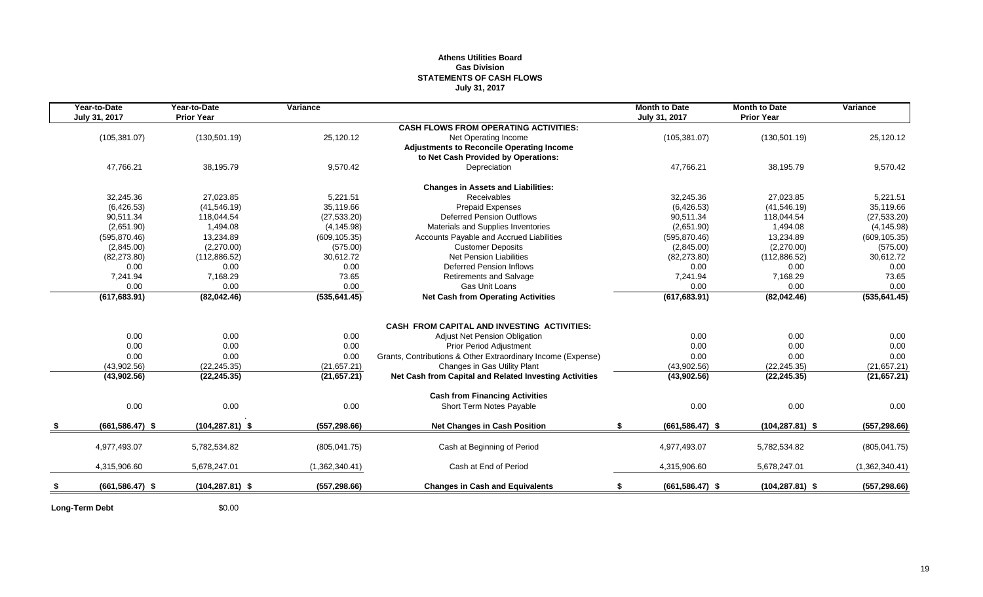#### **Athens Utilities Board Gas Division STATEMENTS OF CASH FLOWS July 31, 2017**

| Year-to-Date       | Year-to-Date<br><b>Prior Year</b> | Variance       |                                                              | <b>Month to Date</b>     | <b>Month to Date</b><br><b>Prior Year</b> | Variance       |
|--------------------|-----------------------------------|----------------|--------------------------------------------------------------|--------------------------|-------------------------------------------|----------------|
| July 31, 2017      |                                   |                | <b>CASH FLOWS FROM OPERATING ACTIVITIES:</b>                 | July 31, 2017            |                                           |                |
| (105, 381.07)      | (130, 501.19)                     | 25,120.12      | Net Operating Income                                         | (105, 381.07)            | (130, 501.19)                             | 25,120.12      |
|                    |                                   |                | <b>Adjustments to Reconcile Operating Income</b>             |                          |                                           |                |
|                    |                                   |                | to Net Cash Provided by Operations:                          |                          |                                           |                |
| 47,766.21          | 38,195.79                         | 9,570.42       | Depreciation                                                 | 47,766.21                | 38,195.79                                 | 9,570.42       |
|                    |                                   |                | <b>Changes in Assets and Liabilities:</b>                    |                          |                                           |                |
| 32,245.36          | 27,023.85                         | 5,221.51       | <b>Receivables</b>                                           | 32,245.36                | 27,023.85                                 | 5,221.51       |
| (6,426.53)         | (41, 546.19)                      | 35,119.66      | Prepaid Expenses                                             | (6,426.53)               | (41, 546.19)                              | 35,119.66      |
| 90,511.34          | 118,044.54                        | (27, 533.20)   | <b>Deferred Pension Outflows</b>                             | 90,511.34                | 118,044.54                                | (27, 533.20)   |
| (2,651.90)         | 1,494.08                          | (4, 145.98)    | Materials and Supplies Inventories                           | (2,651.90)               | 1,494.08                                  | (4, 145.98)    |
| (595, 870.46)      | 13,234.89                         | (609, 105.35)  | Accounts Payable and Accrued Liabilities                     | (595, 870.46)            | 13,234.89                                 | (609, 105.35)  |
| (2,845.00)         | (2,270.00)                        | (575.00)       | <b>Customer Deposits</b>                                     | (2,845.00)               | (2,270.00)                                | (575.00)       |
| (82, 273.80)       | (112,886.52)                      | 30,612.72      | <b>Net Pension Liabilities</b>                               | (82, 273.80)             | (112, 886.52)                             | 30,612.72      |
| 0.00               | 0.00                              | 0.00           | <b>Deferred Pension Inflows</b>                              | 0.00                     | 0.00                                      | 0.00           |
| 7,241.94           | 7,168.29                          | 73.65          | <b>Retirements and Salvage</b>                               | 7,241.94                 | 7,168.29                                  | 73.65          |
| 0.00               | 0.00                              | 0.00           | Gas Unit Loans                                               | 0.00                     | 0.00                                      | 0.00           |
| (617, 683.91)      | (82,042.46)                       | (535, 641.45)  | <b>Net Cash from Operating Activities</b>                    | (617, 683.91)            | (82,042.46)                               | (535, 641.45)  |
|                    |                                   |                |                                                              |                          |                                           |                |
|                    |                                   |                | <b>CASH FROM CAPITAL AND INVESTING ACTIVITIES:</b>           |                          |                                           |                |
| 0.00               | 0.00                              | 0.00           | Adjust Net Pension Obligation                                | 0.00                     | 0.00                                      | 0.00           |
| 0.00               | 0.00                              | 0.00           | Prior Period Adjustment                                      | 0.00                     | 0.00                                      | 0.00           |
| 0.00               | 0.00                              | 0.00           | Grants, Contributions & Other Extraordinary Income (Expense) | 0.00                     | 0.00                                      | 0.00           |
| (43,902.56)        | (22, 245.35)                      | (21, 657.21)   | Changes in Gas Utility Plant                                 | (43,902.56)              | (22, 245.35)                              | (21, 657.21)   |
| (43,902.56)        | (22, 245.35)                      | (21, 657.21)   | Net Cash from Capital and Related Investing Activities       | (43,902.56)              | (22, 245.35)                              | (21,657.21)    |
|                    |                                   |                | <b>Cash from Financing Activities</b>                        |                          |                                           |                |
| 0.00               | 0.00                              | 0.00           | Short Term Notes Payable                                     | 0.00                     | 0.00                                      | 0.00           |
| $(661, 586.47)$ \$ | $(104, 287.81)$ \$                | (557, 298.66)  | <b>Net Changes in Cash Position</b>                          | \$<br>$(661, 586.47)$ \$ | $(104, 287.81)$ \$                        | (557, 298.66)  |
| 4,977,493.07       | 5,782,534.82                      | (805, 041.75)  | Cash at Beginning of Period                                  | 4.977.493.07             | 5,782,534.82                              | (805, 041.75)  |
| 4,315,906.60       | 5,678,247.01                      |                | Cash at End of Period                                        | 4,315,906.60             | 5,678,247.01                              | (1,362,340.41) |
|                    |                                   | (1,362,340.41) |                                                              |                          |                                           |                |
| $(661, 586.47)$ \$ | $(104, 287.81)$ \$                | (557, 298.66)  | <b>Changes in Cash and Equivalents</b>                       | $(661, 586.47)$ \$<br>\$ | $(104, 287.81)$ \$                        | (557, 298.66)  |
|                    |                                   |                |                                                              |                          |                                           |                |

**Long-Term Debt** \$0.00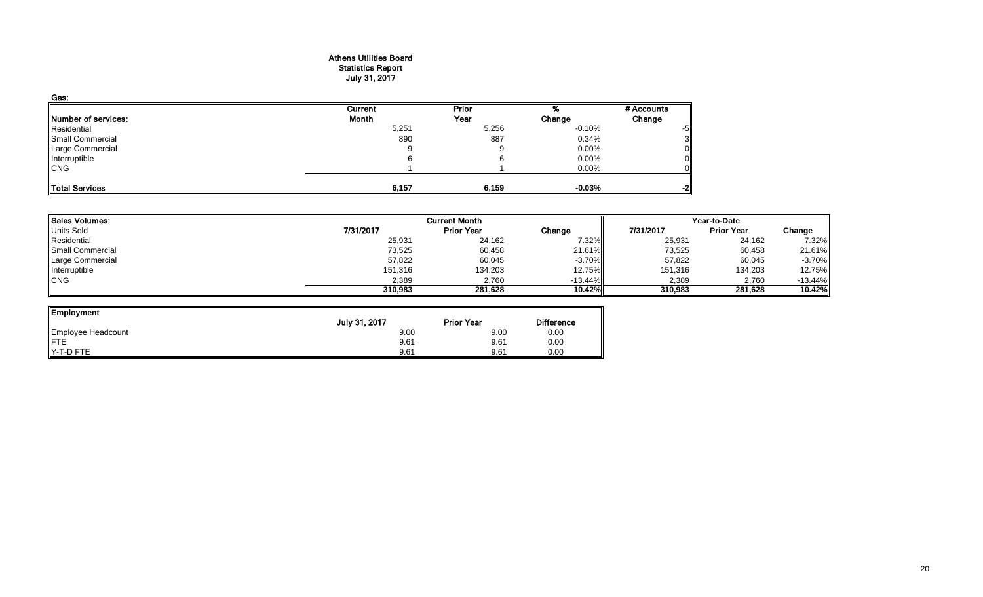#### Athens Utilities Board Statistics Report July 31, 2017

| Gas:                |         |       |          |            |
|---------------------|---------|-------|----------|------------|
|                     | Current | Prior |          | # Accounts |
| Number of services: | Month   | Year  | Change   | Change     |
| Residential         | 5,251   | 5,256 | $-0.10%$ | -5         |
| Small Commercial    | 890     | 887   | 0.34%    |            |
| Large Commercial    | 9       |       | $0.00\%$ |            |
| Interruptible       |         |       | 0.00%    |            |
| <b>CNG</b>          |         |       | 0.00%    |            |
| Total Services      | 6,157   | 6,159 | $-0.03%$ | -2         |

| <b>Sales Volumes:</b><br><b>Current Month</b><br><b>Units Sold</b> |                   |               |           |                   |              |
|--------------------------------------------------------------------|-------------------|---------------|-----------|-------------------|--------------|
| 7/31/2017                                                          | <b>Prior Year</b> | Change        | 7/31/2017 | <b>Prior Year</b> | Change       |
| 25,931                                                             | 24,162            | 7.32%         | 25,931    | 24,162            | 7.32%        |
| 73,525                                                             | 60,458            | 21.61%        | 73,525    | 60,458            | 21.61%       |
| 57,822                                                             | 60,045            | $-3.70\%$     | 57,822    | 60,045            | $-3.70%$     |
| 151,316                                                            | 134,203           | 12.75%        | 151,316   | 134,203           | 12.75%       |
| 2,389                                                              | 2.760             | $-13.44\%$    | 2,389     | 2,760             | $-13.44%$    |
| 310,983                                                            | 281.628           | <b>10.42%</b> | 310,983   | 281,628           | 10.42%       |
|                                                                    |                   |               |           |                   | Year-to-Date |

ᆜ

| Employment         |               |                   |                   |
|--------------------|---------------|-------------------|-------------------|
|                    | July 31, 2017 | <b>Prior Year</b> | <b>Difference</b> |
| Employee Headcount | 9.00          | 9.00              | 0.00              |
| ∥FTE               | 9.61          | 9.61              | 0.00              |
| Y-T-D FTE          | 9.61          | 9.61              | 0.00              |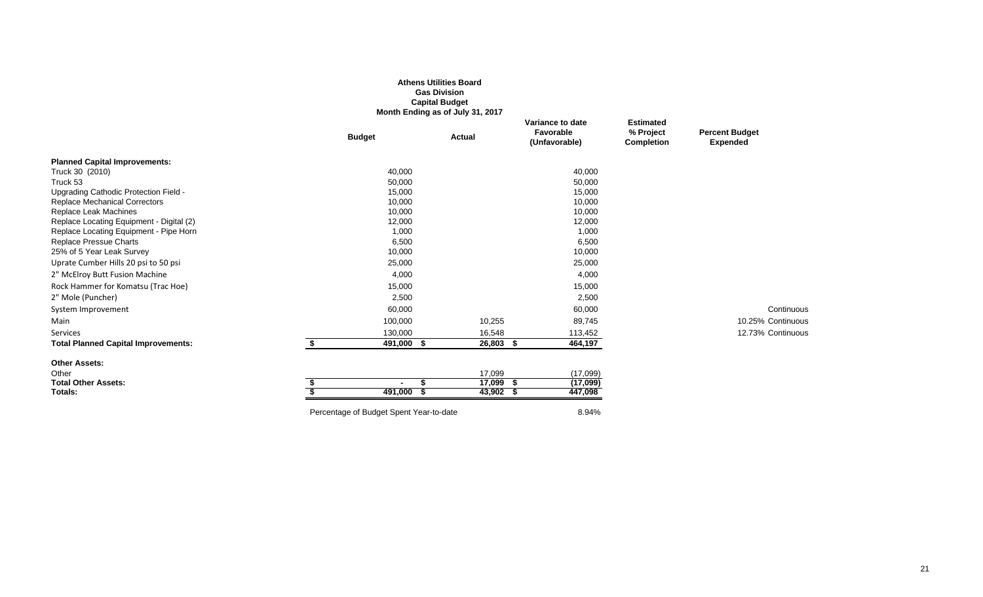|                                                                   |                     | <b>Gas Division</b><br><b>Capital Budget</b><br>Month Ending as of July 31, 2017 |                                                |                                                    |                                          |
|-------------------------------------------------------------------|---------------------|----------------------------------------------------------------------------------|------------------------------------------------|----------------------------------------------------|------------------------------------------|
|                                                                   | <b>Budget</b>       | <b>Actual</b>                                                                    | Variance to date<br>Favorable<br>(Unfavorable) | <b>Estimated</b><br>% Project<br><b>Completion</b> | <b>Percent Budget</b><br><b>Expended</b> |
| <b>Planned Capital Improvements:</b>                              |                     |                                                                                  |                                                |                                                    |                                          |
| Truck 30 (2010)                                                   | 40,000              |                                                                                  | 40,000                                         |                                                    |                                          |
| Truck 53                                                          | 50,000              |                                                                                  | 50,000                                         |                                                    |                                          |
| Upgrading Cathodic Protection Field -                             | 15,000              |                                                                                  | 15,000                                         |                                                    |                                          |
| <b>Replace Mechanical Correctors</b>                              | 10,000              |                                                                                  | 10,000                                         |                                                    |                                          |
| Replace Leak Machines<br>Replace Locating Equipment - Digital (2) | 10,000<br>12,000    |                                                                                  | 10,000<br>12,000                               |                                                    |                                          |
| Replace Locating Equipment - Pipe Horn                            | 1,000               |                                                                                  | 1,000                                          |                                                    |                                          |
| <b>Replace Pressue Charts</b>                                     | 6,500               |                                                                                  | 6,500                                          |                                                    |                                          |
| 25% of 5 Year Leak Survey                                         | 10,000              |                                                                                  | 10,000                                         |                                                    |                                          |
| Uprate Cumber Hills 20 psi to 50 psi                              | 25,000              |                                                                                  | 25,000                                         |                                                    |                                          |
| 2" McElroy Butt Fusion Machine                                    | 4,000               |                                                                                  | 4,000                                          |                                                    |                                          |
| Rock Hammer for Komatsu (Trac Hoe)                                | 15,000              |                                                                                  | 15,000                                         |                                                    |                                          |
| 2" Mole (Puncher)                                                 | 2,500               |                                                                                  | 2,500                                          |                                                    |                                          |
| System Improvement                                                | 60,000              |                                                                                  | 60,000                                         |                                                    | Continuous                               |
| Main                                                              | 100,000             | 10,255                                                                           | 89,745                                         |                                                    | 10.25% Continuous                        |
| <b>Services</b>                                                   | 130,000             | 16,548                                                                           | 113,452                                        |                                                    | 12.73% Continuous                        |
| <b>Total Planned Capital Improvements:</b>                        | \$<br>491,000 \$    | 26,803 \$                                                                        | 464,197                                        |                                                    |                                          |
| <b>Other Assets:</b>                                              |                     |                                                                                  |                                                |                                                    |                                          |
| Other                                                             |                     | 17,099                                                                           | (17,099)                                       |                                                    |                                          |
| <b>Total Other Assets:</b>                                        | S<br>$\blacksquare$ | 17,099                                                                           | (17,099)<br>-S                                 |                                                    |                                          |
| Totals:                                                           | 491,000             | $43,902$ \$                                                                      | 447,098                                        |                                                    |                                          |
|                                                                   |                     |                                                                                  |                                                |                                                    |                                          |

**Athens Utilities Board**

## Percentage of Budget Spent Year-to-date 8.94%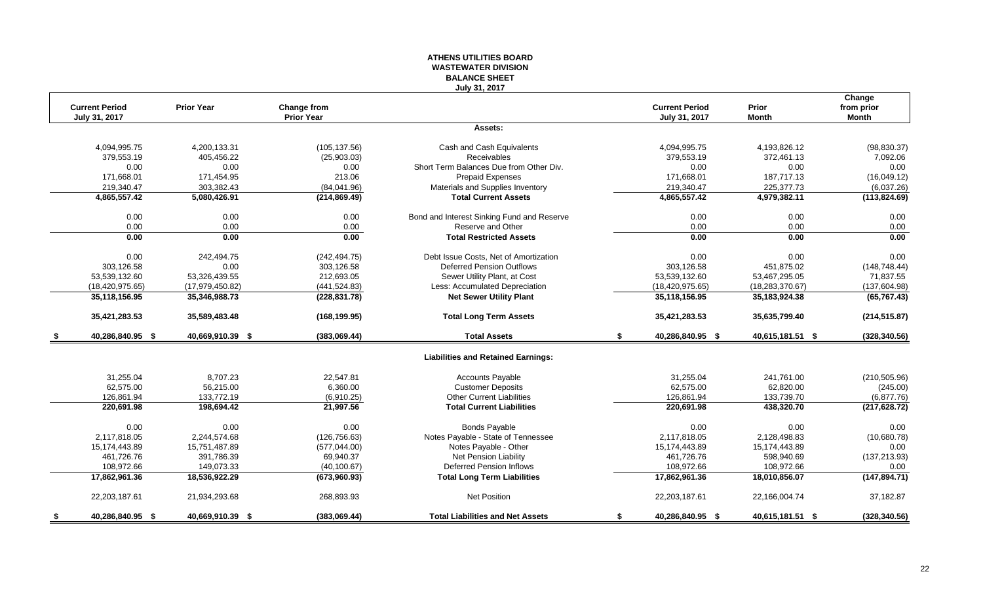#### **ATHENS UTILITIES BOARD WASTEWATER DIVISION BALANCE SHEET July 31, 2017**

| <b>Current Period</b><br>July 31, 2017 | <b>Prior Year</b> | Change from<br><b>Prior Year</b> |                                            | <b>Current Period</b><br>July 31, 2017 | Prior<br><b>Month</b> | Change<br>from prior<br><b>Month</b> |
|----------------------------------------|-------------------|----------------------------------|--------------------------------------------|----------------------------------------|-----------------------|--------------------------------------|
|                                        |                   |                                  | Assets:                                    |                                        |                       |                                      |
| 4,094,995.75                           | 4,200,133.31      | (105, 137.56)                    | Cash and Cash Equivalents                  | 4,094,995.75                           | 4,193,826.12          | (98, 830.37)                         |
| 379,553.19                             | 405,456.22        | (25,903.03)                      | Receivables                                | 379,553.19                             | 372,461.13            | 7,092.06                             |
| 0.00                                   | 0.00              | 0.00                             | Short Term Balances Due from Other Div.    | 0.00                                   | 0.00                  | 0.00                                 |
| 171,668.01                             | 171,454.95        | 213.06                           | Prepaid Expenses                           | 171,668.01                             | 187,717.13            | (16,049.12)                          |
| 219,340.47                             | 303,382.43        | (84,041.96)                      | Materials and Supplies Inventory           | 219,340.47                             | 225,377.73            | (6,037.26)                           |
| 4,865,557.42                           | 5,080,426.91      | (214, 869.49)                    | <b>Total Current Assets</b>                | 4,865,557.42                           | 4,979,382.11          | (113, 824.69)                        |
| 0.00                                   | 0.00              | 0.00                             | Bond and Interest Sinking Fund and Reserve | 0.00                                   | 0.00                  | 0.00                                 |
| 0.00                                   | 0.00              | 0.00                             | Reserve and Other                          | 0.00                                   | 0.00                  | 0.00                                 |
| 0.00                                   | 0.00              | 0.00                             | <b>Total Restricted Assets</b>             | 0.00                                   | 0.00                  | 0.00                                 |
| 0.00                                   | 242,494.75        | (242, 494.75)                    | Debt Issue Costs, Net of Amortization      | 0.00                                   | 0.00                  | 0.00                                 |
| 303,126.58                             | 0.00              | 303,126.58                       | <b>Deferred Pension Outflows</b>           | 303,126.58                             | 451,875.02            | (148, 748.44)                        |
| 53,539,132.60                          | 53,326,439.55     | 212,693.05                       | Sewer Utility Plant, at Cost               | 53,539,132.60                          | 53,467,295.05         | 71,837.55                            |
| (18, 420, 975.65)                      | (17, 979, 450.82) | (441, 524.83)                    | Less: Accumulated Depreciation             | (18, 420, 975.65)                      | (18, 283, 370.67)     | (137,604.98)                         |
| 35,118,156.95                          | 35,346,988.73     | (228, 831.78)                    | <b>Net Sewer Utility Plant</b>             | 35, 118, 156. 95                       | 35, 183, 924. 38      | (65, 767.43)                         |
| 35,421,283.53                          | 35,589,483.48     | (168, 199.95)                    | <b>Total Long Term Assets</b>              | 35,421,283.53                          | 35,635,799.40         | (214, 515.87)                        |
| 40,286,840.95 \$                       | 40,669,910.39 \$  | (383,069.44)                     | <b>Total Assets</b>                        | \$<br>40,286,840.95 \$                 | 40,615,181.51 \$      | (328, 340.56)                        |
|                                        |                   |                                  | <b>Liabilities and Retained Earnings:</b>  |                                        |                       |                                      |
| 31,255.04                              | 8,707.23          | 22,547.81                        | <b>Accounts Payable</b>                    | 31,255.04                              | 241,761.00            | (210, 505.96)                        |
| 62,575.00                              | 56,215.00         | 6,360.00                         | <b>Customer Deposits</b>                   | 62,575.00                              | 62,820.00             | (245.00)                             |
| 126,861.94                             | 133,772.19        | (6,910.25)                       | <b>Other Current Liabilities</b>           | 126,861.94                             | 133,739.70            | (6,877.76)                           |
| 220,691.98                             | 198,694.42        | 21,997.56                        | <b>Total Current Liabilities</b>           | 220,691.98                             | 438,320.70            | (217, 628.72)                        |
| 0.00                                   | 0.00              | 0.00                             | <b>Bonds Payable</b>                       | 0.00                                   | 0.00                  | 0.00                                 |
| 2,117,818.05                           | 2,244,574.68      | (126, 756.63)                    | Notes Payable - State of Tennessee         | 2,117,818.05                           | 2,128,498.83          | (10,680.78)                          |
| 15,174,443.89                          | 15,751,487.89     | (577, 044.00)                    | Notes Payable - Other                      | 15,174,443.89                          | 15,174,443.89         | 0.00                                 |
| 461,726.76                             | 391,786.39        | 69,940.37                        | <b>Net Pension Liability</b>               | 461,726.76                             | 598,940.69            | (137, 213.93)                        |
| 108,972.66                             | 149,073.33        | (40, 100.67)                     | <b>Deferred Pension Inflows</b>            | 108,972.66                             | 108,972.66            | 0.00                                 |
| 17,862,961.36                          | 18,536,922.29     | (673,960.93)                     | <b>Total Long Term Liabilities</b>         | 17,862,961.36                          | 18,010,856.07         | (147, 894.71)                        |
| 22,203,187.61                          | 21,934,293.68     | 268,893.93                       | <b>Net Position</b>                        | 22,203,187.61                          | 22,166,004.74         | 37,182.87                            |
| \$<br>40,286,840.95 \$                 | 40,669,910.39 \$  | (383,069.44)                     | <b>Total Liabilities and Net Assets</b>    | \$<br>40,286,840.95 \$                 | 40,615,181.51 \$      | (328, 340.56)                        |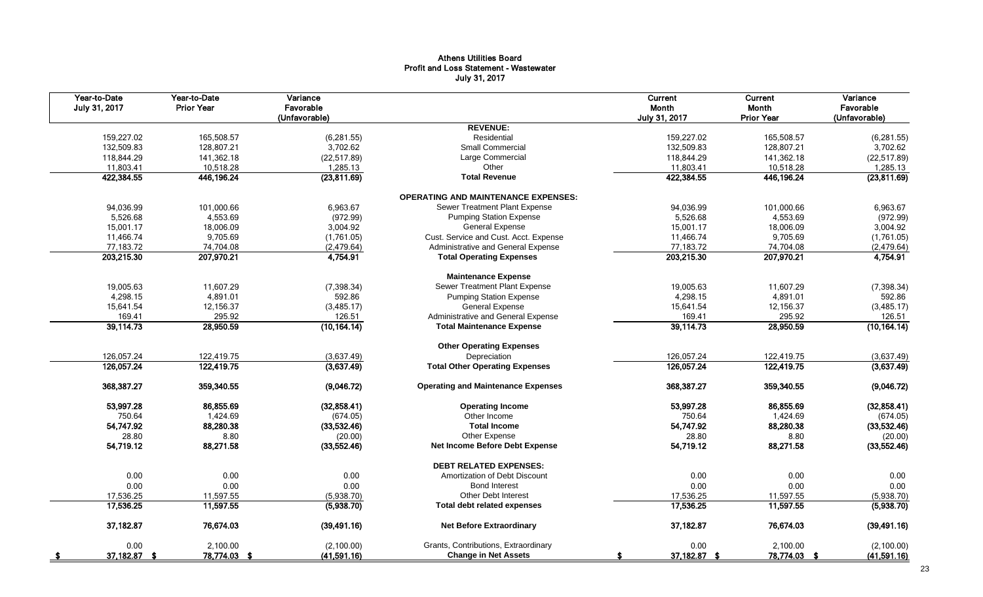#### Athens Utilities Board Profit and Loss Statement - Wastewater July 31, 2017

| Year-to-Date<br>July 31, 2017 | Year-to-Date<br><b>Prior Year</b> | Variance<br>Favorable<br>(Unfavorable) |                                            | Current<br>Month<br>July 31, 2017 | <b>Current</b><br>Month<br><b>Prior Year</b> | Variance<br>Favorable<br>(Unfavorable) |
|-------------------------------|-----------------------------------|----------------------------------------|--------------------------------------------|-----------------------------------|----------------------------------------------|----------------------------------------|
|                               |                                   |                                        | <b>REVENUE:</b>                            |                                   |                                              |                                        |
| 159,227.02                    | 165,508.57                        | (6, 281.55)                            | Residential                                | 159,227.02                        | 165,508.57                                   | (6, 281.55)                            |
| 132,509.83                    | 128,807.21                        | 3,702.62                               | <b>Small Commercial</b>                    | 132,509.83                        | 128,807.21                                   | 3,702.62                               |
| 118,844.29                    | 141,362.18                        | (22, 517.89)                           | Large Commercial                           | 118,844.29                        | 141,362.18                                   | (22, 517.89)                           |
| 11,803.41                     | 10,518.28                         | 1,285.13                               | Other                                      | 11,803.41                         | 10,518.28                                    | 1,285.13                               |
| 422,384.55                    | 446,196.24                        | (23,811.69)                            | <b>Total Revenue</b>                       | 422,384.55                        | 446,196.24                                   | (23,811.69)                            |
|                               |                                   |                                        | <b>OPERATING AND MAINTENANCE EXPENSES:</b> |                                   |                                              |                                        |
| 94,036.99                     | 101,000.66                        | 6,963.67                               | Sewer Treatment Plant Expense              | 94,036.99                         | 101,000.66                                   | 6,963.67                               |
| 5,526.68                      | 4,553.69                          | (972.99)                               | <b>Pumping Station Expense</b>             | 5,526.68                          | 4,553.69                                     | (972.99)                               |
| 15,001.17                     | 18,006.09                         | 3,004.92                               | <b>General Expense</b>                     | 15,001.17                         | 18,006.09                                    | 3,004.92                               |
| 11,466.74                     | 9,705.69                          | (1,761.05)                             | Cust. Service and Cust. Acct. Expense      | 11,466.74                         | 9,705.69                                     | (1,761.05)                             |
| 77,183.72                     | 74,704.08                         | (2,479.64)                             | Administrative and General Expense         | 77,183.72                         | 74,704.08                                    | (2, 479.64)                            |
| 203,215.30                    | 207,970.21                        | 4,754.91                               | <b>Total Operating Expenses</b>            | 203,215.30                        | 207,970.21                                   | 4,754.91                               |
|                               |                                   |                                        | <b>Maintenance Expense</b>                 |                                   |                                              |                                        |
| 19,005.63                     | 11,607.29                         | (7,398.34)                             | Sewer Treatment Plant Expense              | 19,005.63                         | 11,607.29                                    | (7, 398.34)                            |
| 4,298.15                      | 4,891.01                          | 592.86                                 | <b>Pumping Station Expense</b>             | 4,298.15                          | 4,891.01                                     | 592.86                                 |
| 15,641.54                     | 12,156.37                         | (3,485.17)                             | <b>General Expense</b>                     | 15,641.54                         | 12,156.37                                    | (3,485.17)                             |
| 169.41                        | 295.92                            | 126.51                                 | Administrative and General Expense         | 169.41                            | 295.92                                       | 126.51                                 |
| 39,114.73                     | 28,950.59                         | (10, 164.14)                           | <b>Total Maintenance Expense</b>           | 39,114.73                         | 28,950.59                                    | (10, 164.14)                           |
|                               |                                   |                                        | <b>Other Operating Expenses</b>            |                                   |                                              |                                        |
| 126,057.24                    | 122.419.75                        | (3,637.49)                             | Depreciation                               | 126,057.24                        | 122,419.75                                   | (3,637.49)                             |
| 126,057.24                    | 122,419.75                        | (3,637.49)                             | <b>Total Other Operating Expenses</b>      | 126,057.24                        | 122,419.75                                   | (3,637.49)                             |
| 368,387.27                    | 359,340.55                        | (9,046.72)                             | <b>Operating and Maintenance Expenses</b>  | 368,387.27                        | 359,340.55                                   | (9,046.72)                             |
| 53,997.28                     | 86,855.69                         | (32,858.41)                            | <b>Operating Income</b>                    | 53,997.28                         | 86,855.69                                    | (32,858.41)                            |
| 750.64                        | 1,424.69                          | (674.05)                               | Other Income                               | 750.64                            | 1,424.69                                     | (674.05)                               |
| 54,747.92                     | 88,280.38                         | (33,532.46)                            | <b>Total Income</b>                        | 54,747.92                         | 88,280.38                                    | (33,532.46)                            |
| 28.80                         | 8.80                              | (20.00)                                | Other Expense                              | 28.80                             | 8.80                                         | (20.00)                                |
| 54,719.12                     | 88,271.58                         | (33, 552.46)                           | Net Income Before Debt Expense             | 54,719.12                         | 88,271.58                                    | (33,552.46)                            |
|                               |                                   |                                        | <b>DEBT RELATED EXPENSES:</b>              |                                   |                                              |                                        |
| 0.00                          | 0.00                              | 0.00                                   | Amortization of Debt Discount              | 0.00                              | 0.00                                         | 0.00                                   |
| 0.00                          | 0.00                              | 0.00                                   | <b>Bond Interest</b>                       | 0.00                              | 0.00                                         | 0.00                                   |
| 17,536.25                     | 11,597.55                         | (5,938.70)                             | <b>Other Debt Interest</b>                 | 17,536.25                         | 11,597.55                                    | (5,938.70)                             |
| 17,536.25                     | 11,597.55                         | (5,938.70)                             | <b>Total debt related expenses</b>         | 17,536.25                         | 11,597.55                                    | (5,938.70)                             |
| 37,182.87                     | 76,674.03                         | (39, 491.16)                           | <b>Net Before Extraordinary</b>            | 37,182.87                         | 76,674.03                                    | (39, 491.16)                           |
| 0.00                          | 2.100.00                          | (2,100.00)                             | Grants, Contributions, Extraordinary       | 0.00                              | 2.100.00                                     | (2, 100.00)                            |
| 37,182.87 \$                  | 78,774.03 \$                      | (41,591.16)                            | <b>Change in Net Assets</b>                | 37,182.87 \$                      | 78,774.03 \$                                 | (41,591.16)                            |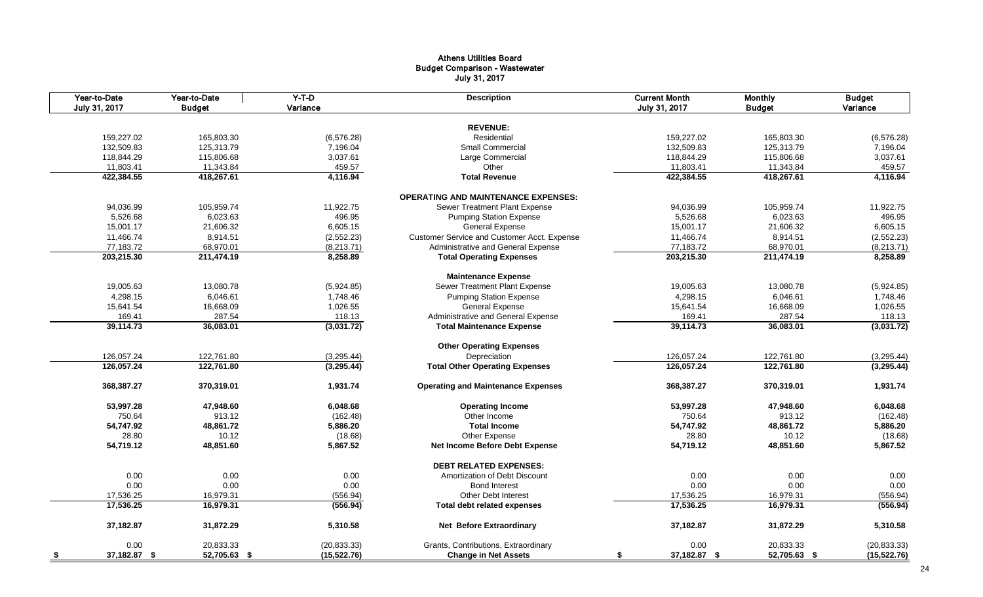#### Athens Utilities Board Budget Comparison - Wastewater July 31, 2017

|      | Year-to-Date<br>July 31, 2017 | Year-to-Date<br><b>Budget</b> | $Y-T-D$<br>Variance  | <b>Description</b>                          | <b>Current Month</b><br>July 31, 2017 | <b>Monthly</b><br><b>Budget</b> | <b>Budget</b><br>Variance |
|------|-------------------------------|-------------------------------|----------------------|---------------------------------------------|---------------------------------------|---------------------------------|---------------------------|
|      |                               |                               |                      |                                             |                                       |                                 |                           |
|      |                               |                               |                      | <b>REVENUE:</b>                             |                                       |                                 |                           |
|      | 159,227.02                    | 165,803.30                    | (6,576.28)           | Residential                                 | 159,227.02                            | 165,803.30                      | (6,576.28)                |
|      | 132,509.83                    | 125,313.79                    | 7,196.04             | <b>Small Commercial</b>                     | 132,509.83                            | 125,313.79                      | 7,196.04                  |
|      | 118,844.29                    | 115,806.68                    | 3,037.61             | Large Commercial                            | 118,844.29                            | 115,806.68                      | 3,037.61                  |
|      | 11,803.41                     | 11,343.84                     | 459.57               | Other                                       | 11,803.41                             | 11,343.84                       | 459.57                    |
|      | 422,384.55                    | 418,267.61                    | 4,116.94             | <b>Total Revenue</b>                        | 422,384.55                            | 418,267.61                      | 4,116.94                  |
|      |                               |                               |                      | <b>OPERATING AND MAINTENANCE EXPENSES:</b>  |                                       |                                 |                           |
|      | 94,036.99                     | 105,959.74                    | 11,922.75            | Sewer Treatment Plant Expense               | 94,036.99                             | 105,959.74                      | 11,922.75                 |
|      | 5,526.68                      | 6,023.63                      | 496.95               | <b>Pumping Station Expense</b>              | 5,526.68                              | 6,023.63                        | 496.95                    |
|      | 15,001.17                     | 21,606.32                     | 6,605.15             | General Expense                             | 15,001.17                             | 21,606.32                       | 6,605.15                  |
|      | 11,466.74                     | 8,914.51                      | (2,552.23)           | Customer Service and Customer Acct. Expense | 11,466.74                             | 8,914.51                        | (2,552.23)                |
|      | 77,183.72                     | 68,970.01                     | (8,213.71)           | Administrative and General Expense          | 77,183.72                             | 68,970.01                       | (8, 213.71)               |
|      | 203,215.30                    | 211,474.19                    | 8,258.89             | <b>Total Operating Expenses</b>             | 203,215.30                            | 211,474.19                      | 8,258.89                  |
|      |                               |                               |                      | <b>Maintenance Expense</b>                  |                                       |                                 |                           |
|      | 19,005.63                     | 13,080.78                     | (5,924.85)           | Sewer Treatment Plant Expense               | 19,005.63                             | 13,080.78                       | (5,924.85)                |
|      | 4,298.15                      | 6,046.61                      | 1,748.46             | <b>Pumping Station Expense</b>              | 4,298.15                              | 6,046.61                        | 1,748.46                  |
|      | 15,641.54                     | 16,668.09                     | 1,026.55             | <b>General Expense</b>                      | 15,641.54                             | 16,668.09                       | 1,026.55                  |
|      |                               |                               |                      |                                             | 169.41                                |                                 |                           |
|      | 169.41                        | 287.54                        | 118.13<br>(3,031.72) | Administrative and General Expense          |                                       | 287.54                          | 118.13                    |
|      | 39,114.73                     | 36,083.01                     |                      | <b>Total Maintenance Expense</b>            | 39,114.73                             | 36,083.01                       | (3,031.72)                |
|      |                               |                               |                      | <b>Other Operating Expenses</b>             |                                       |                                 |                           |
|      | 126,057.24                    | 122,761.80                    | (3,295.44)           | Depreciation                                | 126,057.24                            | 122,761.80                      | (3,295.44)                |
|      | 126,057.24                    | 122,761.80                    | (3,295.44)           | <b>Total Other Operating Expenses</b>       | 126,057.24                            | 122,761.80                      | (3,295.44)                |
|      | 368,387.27                    | 370,319.01                    | 1,931.74             | <b>Operating and Maintenance Expenses</b>   | 368,387.27                            | 370,319.01                      | 1,931.74                  |
|      | 53,997.28                     | 47,948.60                     | 6,048.68             | <b>Operating Income</b>                     | 53,997.28                             | 47,948.60                       | 6,048.68                  |
|      | 750.64                        | 913.12                        | (162.48)             | Other Income                                | 750.64                                | 913.12                          | (162.48)                  |
|      | 54,747.92                     | 48,861.72                     | 5,886.20             | <b>Total Income</b>                         | 54,747.92                             | 48,861.72                       | 5,886.20                  |
|      | 28.80                         | 10.12                         | (18.68)              | Other Expense                               | 28.80                                 | 10.12                           | (18.68)                   |
|      | 54,719.12                     | 48.851.60                     | 5,867.52             | <b>Net Income Before Debt Expense</b>       | 54,719.12                             | 48,851.60                       | 5,867.52                  |
|      |                               |                               |                      | <b>DEBT RELATED EXPENSES:</b>               |                                       |                                 |                           |
|      | 0.00                          | 0.00                          | 0.00                 | Amortization of Debt Discount               | 0.00                                  | 0.00                            | 0.00                      |
|      | 0.00                          | 0.00                          | 0.00                 | <b>Bond Interest</b>                        | 0.00                                  | 0.00                            | 0.00                      |
|      | 17,536.25                     | 16,979.31                     | (556.94)             | <b>Other Debt Interest</b>                  | 17,536.25                             | 16,979.31                       | (556.94)                  |
|      | 17,536.25                     | 16,979.31                     | (556.94)             | <b>Total debt related expenses</b>          | 17,536.25                             | 16,979.31                       | (556.94)                  |
|      |                               |                               |                      |                                             |                                       |                                 |                           |
|      | 37,182.87                     | 31,872.29                     | 5,310.58             | <b>Net Before Extraordinary</b>             | 37,182.87                             | 31,872.29                       | 5,310.58                  |
|      | 0.00                          | 20,833.33                     | (20, 833.33)         | Grants, Contributions, Extraordinary        | 0.00                                  | 20,833.33                       | (20, 833.33)              |
| - \$ | 37,182.87 \$                  | 52,705.63 \$                  | (15,522.76)          | <b>Change in Net Assets</b>                 | 37,182.87 \$<br>\$                    | 52,705.63 \$                    | (15, 522.76)              |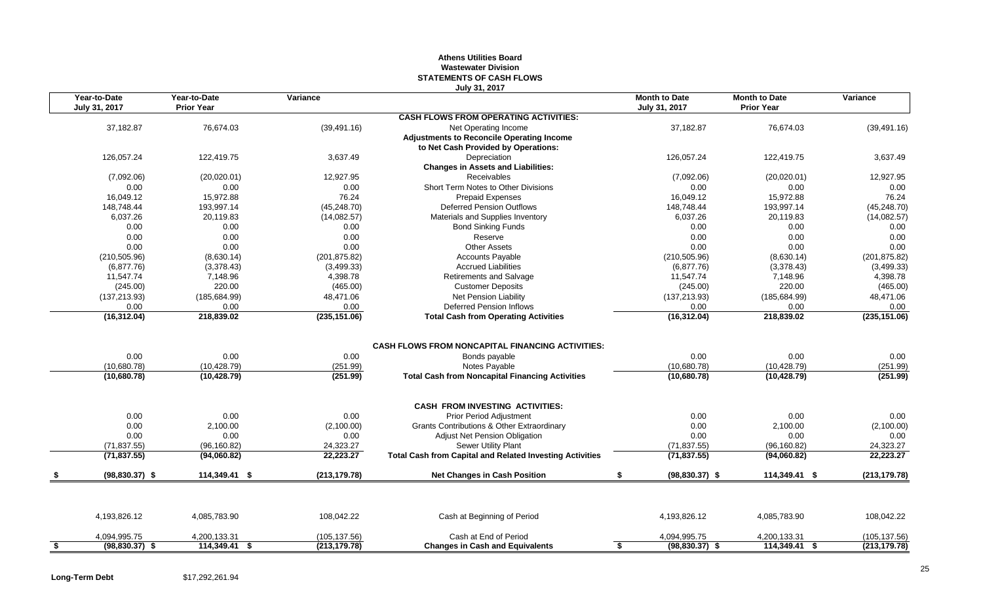#### **Athens Utilities Board Wastewater Division STATEMENTS OF CASH FLOWS July 31, 2017**

| Year-to-Date<br>July 31, 2017      | Year-to-Date<br><b>Prior Year</b>    | Variance                     | JUIY JI, ZVII                                                                                                                                       | <b>Month to Date</b><br>July 31, 2017 | <b>Month to Date</b><br><b>Prior Year</b> | Variance                     |
|------------------------------------|--------------------------------------|------------------------------|-----------------------------------------------------------------------------------------------------------------------------------------------------|---------------------------------------|-------------------------------------------|------------------------------|
|                                    |                                      |                              | <b>CASH FLOWS FROM OPERATING ACTIVITIES:</b>                                                                                                        |                                       |                                           |                              |
| 37,182.87                          | 76,674.03                            | (39, 491.16)                 | Net Operating Income                                                                                                                                | 37,182.87                             | 76,674.03                                 | (39, 491.16)                 |
|                                    |                                      |                              | <b>Adjustments to Reconcile Operating Income</b>                                                                                                    |                                       |                                           |                              |
|                                    |                                      |                              | to Net Cash Provided by Operations:                                                                                                                 |                                       |                                           |                              |
| 126,057.24                         | 122,419.75                           | 3,637.49                     | Depreciation                                                                                                                                        | 126,057.24                            | 122,419.75                                | 3,637.49                     |
|                                    |                                      |                              | <b>Changes in Assets and Liabilities:</b>                                                                                                           |                                       |                                           |                              |
| (7,092.06)                         | (20,020.01)                          | 12,927.95                    | Receivables                                                                                                                                         | (7,092.06)                            | (20,020.01)                               | 12,927.95                    |
| 0.00                               | 0.00                                 | 0.00                         | Short Term Notes to Other Divisions                                                                                                                 | 0.00                                  | 0.00                                      | 0.00                         |
| 16,049.12                          | 15,972.88                            | 76.24                        | <b>Prepaid Expenses</b>                                                                                                                             | 16,049.12                             | 15,972.88                                 | 76.24                        |
| 148,748.44                         | 193,997.14                           | (45, 248.70)                 | <b>Deferred Pension Outflows</b>                                                                                                                    | 148,748.44                            | 193,997.14                                | (45, 248.70)                 |
| 6,037.26                           | 20,119.83                            | (14,082.57)                  | Materials and Supplies Inventory                                                                                                                    | 6,037.26                              | 20,119.83                                 | (14,082.57)                  |
| 0.00                               | 0.00                                 | 0.00                         | <b>Bond Sinking Funds</b>                                                                                                                           | 0.00                                  | 0.00                                      | 0.00                         |
| 0.00                               | 0.00                                 | 0.00                         | Reserve                                                                                                                                             | 0.00                                  | 0.00                                      | 0.00                         |
| 0.00                               | 0.00                                 | 0.00                         | <b>Other Assets</b>                                                                                                                                 | 0.00                                  | 0.00                                      | 0.00                         |
| (210, 505.96)                      | (8,630.14)                           | (201, 875.82)                | <b>Accounts Payable</b>                                                                                                                             | (210, 505.96)                         | (8,630.14)                                | (201, 875.82)                |
| (6,877.76)                         | (3,378.43)                           | (3,499.33)                   | <b>Accrued Liabilities</b>                                                                                                                          | (6,877.76)                            | (3,378.43)                                | (3,499.33)                   |
| 11,547.74                          | 7,148.96                             | 4,398.78                     | <b>Retirements and Salvage</b>                                                                                                                      | 11,547.74                             | 7,148.96                                  | 4,398.78                     |
| (245.00)                           | 220.00                               | (465.00)                     | <b>Customer Deposits</b>                                                                                                                            | (245.00)                              | 220.00                                    | (465.00)                     |
| (137, 213.93)                      | (185,684.99)                         | 48,471.06                    | <b>Net Pension Liability</b>                                                                                                                        | (137, 213.93)                         | (185, 684.99)                             | 48,471.06                    |
| 0.00                               | 0.00                                 | 0.00                         | <b>Deferred Pension Inflows</b>                                                                                                                     | 0.00                                  | 0.00                                      | 0.00                         |
| (16, 312.04)                       | 218,839.02                           | (235, 151.06)                | <b>Total Cash from Operating Activities</b>                                                                                                         | (16, 312.04)                          | 218,839.02                                | (235, 151.06)                |
| 0.00<br>(10,680.78)<br>(10,680.78) | 0.00<br>(10, 428.79)<br>(10, 428.79) | 0.00<br>(251.99)<br>(251.99) | <b>CASH FLOWS FROM NONCAPITAL FINANCING ACTIVITIES:</b><br>Bonds payable<br>Notes Payable<br><b>Total Cash from Noncapital Financing Activities</b> | 0.00<br>(10,680.78)<br>(10,680.78)    | 0.00<br>(10, 428.79)<br>(10, 428.79)      | 0.00<br>(251.99)<br>(251.99) |
|                                    |                                      |                              | <b>CASH FROM INVESTING ACTIVITIES:</b>                                                                                                              |                                       |                                           |                              |
| 0.00                               | 0.00                                 | 0.00                         | Prior Period Adjustment                                                                                                                             | 0.00                                  | 0.00                                      | 0.00                         |
| 0.00                               | 2,100.00                             | (2,100.00)                   | Grants Contributions & Other Extraordinary                                                                                                          | 0.00                                  | 2,100.00                                  | (2,100.00)                   |
| 0.00                               | 0.00                                 | 0.00                         | <b>Adjust Net Pension Obligation</b>                                                                                                                | 0.00                                  | 0.00                                      | 0.00                         |
| (71, 837.55)                       | (96, 160.82)                         | 24,323.27                    | Sewer Utility Plant                                                                                                                                 | (71, 837.55)                          | (96, 160.82)                              | 24,323.27                    |
| (71, 837.55)                       | (94,060.82)                          | 22,223.27                    | <b>Total Cash from Capital and Related Investing Activities</b>                                                                                     | (71, 837.55)                          | (94,060.82)                               | 22,223.27                    |
| $(98, 830.37)$ \$                  | 114,349.41 \$                        | (213, 179.78)                | <b>Net Changes in Cash Position</b>                                                                                                                 | $(98,830.37)$ \$<br>\$                | 114,349.41 \$                             | (213, 179.78)                |
|                                    |                                      |                              |                                                                                                                                                     |                                       |                                           |                              |
| 4,193,826.12                       | 4,085,783.90                         | 108,042.22                   | Cash at Beginning of Period                                                                                                                         | 4,193,826.12                          | 4,085,783.90                              | 108,042.22                   |
| 4,094,995.75                       | 4,200,133.31                         | (105, 137.56)                | Cash at End of Period                                                                                                                               | 4,094,995.75                          | 4,200,133.31                              | (105, 137.56)                |
|                                    |                                      |                              |                                                                                                                                                     |                                       |                                           |                              |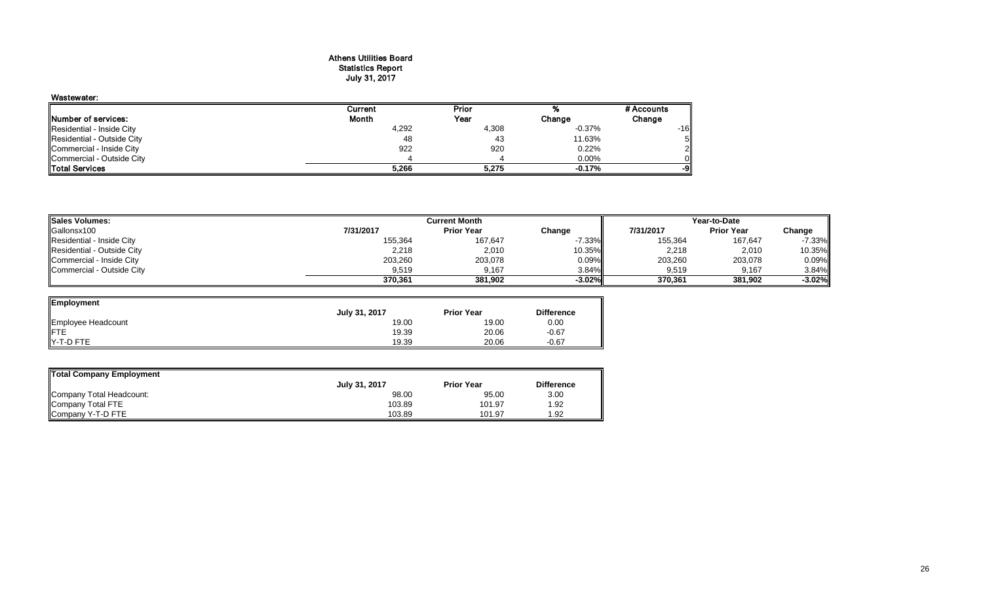#### Athens Utilities Board Statistics Report July 31, 2017

| Wastewater:                 |         |       |          |                |
|-----------------------------|---------|-------|----------|----------------|
|                             | Current | Prior |          | # Accounts     |
| <b>INumber of services:</b> | Month   | Year  | Change   | Change         |
| Residential - Inside City   | 4,292   | 4,308 | $-0.37%$ | -161           |
| Residential - Outside City  | 48      | 43    | 11.63%   | 5 <sub>l</sub> |
| Commercial - Inside City    | 922     | 920   | 0.22%    | $\overline{2}$ |
| Commercial - Outside City   |         |       | $0.00\%$ |                |
| <b>Total Services</b>       | 5,266   | 5,275 | $-0.17%$ | -91            |

| <b>Sales Volumes:</b>      | <b>Current Month</b> |                   |           | Year-to-Date |                   |           |  |
|----------------------------|----------------------|-------------------|-----------|--------------|-------------------|-----------|--|
| Gallonsx100                | 7/31/2017            | <b>Prior Year</b> | Change    | 7/31/2017    | <b>Prior Year</b> | Change    |  |
| Residential - Inside City  | 155,364              | 167,647           | $-7.33\%$ | 155,364      | 167,647           | $-7.33%$  |  |
| Residential - Outside City | 2.218                | 2,010             | $10.35\%$ | 2,218        | 2,010             | 10.35%    |  |
| Commercial - Inside City   | 203,260              | 203,078           | $0.09\%$  | 203,260      | 203,078           | 0.09%     |  |
| Commercial - Outside City  | 9.519                | 9.167             | $3.84\%$  | 9.519        | 9.167             | 3.84%     |  |
|                            | 370.361              | 381.902           | $-3.02\%$ | 370.361      | 381.902           | $-3.02\%$ |  |

-

| Employment         |               |                   |                   |
|--------------------|---------------|-------------------|-------------------|
|                    | July 31, 2017 | <b>Prior Year</b> | <b>Difference</b> |
| Employee Headcount | 19.00         | 19.00             | 0.00              |
| FTE<br>Y-T-D FTE   | 19.39         | 20.06             | $-0.67$           |
|                    | 19.39         | 20.06             | $-0.67$           |

| Total Company Employment |               |                   |                   |  |  |  |  |
|--------------------------|---------------|-------------------|-------------------|--|--|--|--|
|                          | July 31, 2017 | <b>Prior Year</b> | <b>Difference</b> |  |  |  |  |
| Company Total Headcount: | 98.00         | 95.00             | 3.00              |  |  |  |  |
| Company Total FTE        | 103.89        | 101.97            | 1.92              |  |  |  |  |
| Company Y-T-D FTE        | 103.89        | 101.97            | 1.92              |  |  |  |  |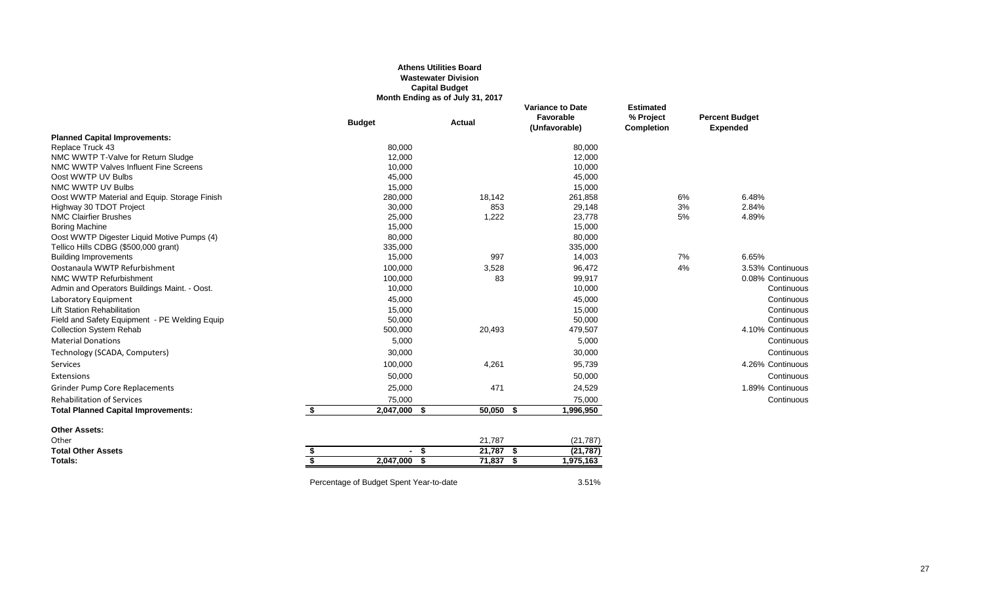#### **Athens Utilities Board Wastewater Division Capital Budget Month Ending as of July 31, 2017**

|                                               | <b>Budget</b>         | Actual      | <b>Variance to Date</b><br>Favorable<br>(Unfavorable) | <b>Estimated</b><br>% Project<br><b>Completion</b> | <b>Percent Budget</b><br><b>Expended</b> |
|-----------------------------------------------|-----------------------|-------------|-------------------------------------------------------|----------------------------------------------------|------------------------------------------|
| <b>Planned Capital Improvements:</b>          |                       |             |                                                       |                                                    |                                          |
| Replace Truck 43                              | 80,000                |             | 80,000                                                |                                                    |                                          |
| NMC WWTP T-Valve for Return Sludge            | 12,000                |             | 12,000                                                |                                                    |                                          |
| NMC WWTP Valves Influent Fine Screens         | 10,000                |             | 10,000                                                |                                                    |                                          |
| Oost WWTP UV Bulbs                            | 45,000                |             | 45,000                                                |                                                    |                                          |
| NMC WWTP UV Bulbs                             | 15,000                |             | 15,000                                                |                                                    |                                          |
| Oost WWTP Material and Equip. Storage Finish  | 280,000               | 18,142      | 261,858                                               | 6%                                                 | 6.48%                                    |
| Highway 30 TDOT Project                       | 30,000                | 853         | 29,148                                                | 3%                                                 | 2.84%                                    |
| <b>NMC Clairfier Brushes</b>                  | 25,000                | 1,222       | 23,778                                                | 5%                                                 | 4.89%                                    |
| <b>Boring Machine</b>                         | 15,000                |             | 15,000                                                |                                                    |                                          |
| Oost WWTP Digester Liquid Motive Pumps (4)    | 80,000                |             | 80,000                                                |                                                    |                                          |
| Tellico Hills CDBG (\$500,000 grant)          | 335,000               |             | 335,000                                               |                                                    |                                          |
| <b>Building Improvements</b>                  | 15,000                | 997         | 14,003                                                | 7%                                                 | 6.65%                                    |
| Oostanaula WWTP Refurbishment                 | 100,000               | 3,528       | 96,472                                                | 4%                                                 | 3.53% Continuous                         |
| NMC WWTP Refurbishment                        | 100,000               | 83          | 99,917                                                |                                                    | 0.08% Continuous                         |
| Admin and Operators Buildings Maint. - Oost.  | 10,000                |             | 10,000                                                |                                                    | Continuous                               |
| Laboratory Equipment                          | 45,000                |             | 45,000                                                |                                                    | Continuous                               |
| <b>Lift Station Rehabilitation</b>            | 15,000                |             | 15,000                                                |                                                    | Continuous                               |
| Field and Safety Equipment - PE Welding Equip | 50,000                |             | 50,000                                                |                                                    | Continuous                               |
| <b>Collection System Rehab</b>                | 500,000               | 20,493      | 479,507                                               |                                                    | 4.10% Continuous                         |
| <b>Material Donations</b>                     | 5,000                 |             | 5,000                                                 |                                                    | Continuous                               |
| Technology (SCADA, Computers)                 | 30,000                |             | 30,000                                                |                                                    | Continuous                               |
| <b>Services</b>                               | 100,000               | 4,261       | 95,739                                                |                                                    | 4.26% Continuous                         |
| Extensions                                    | 50,000                |             | 50,000                                                |                                                    | Continuous                               |
| <b>Grinder Pump Core Replacements</b>         | 25,000                | 471         | 24,529                                                |                                                    | 1.89% Continuous                         |
| <b>Rehabilitation of Services</b>             | 75,000                |             | 75,000                                                |                                                    | Continuous                               |
| <b>Total Planned Capital Improvements:</b>    | \$<br>2,047,000 \$    | $50,050$ \$ | 1,996,950                                             |                                                    |                                          |
| <b>Other Assets:</b>                          |                       |             |                                                       |                                                    |                                          |
| Other                                         |                       | 21,787      | (21, 787)                                             |                                                    |                                          |
| <b>Total Other Assets</b>                     | - \$<br>\$<br>$\sim$  | $21,787$ \$ | (21, 787)                                             |                                                    |                                          |
| Totals:                                       | \$<br>2,047,000<br>Ŝ. | 71,837 \$   | 1,975,163                                             |                                                    |                                          |

Percentage of Budget Spent Year-to-date 3.51%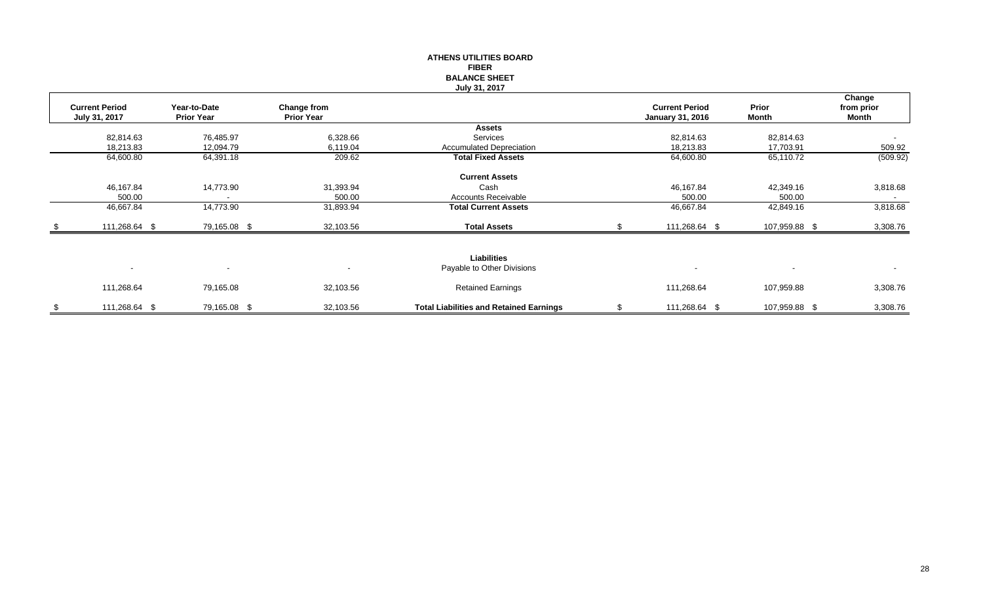|      |                                        |                                   |                                         | <b>ATHENS UTILITIES BOARD</b><br><b>FIBER</b><br><b>BALANCE SHEET</b><br>July 31, 2017 |                                                  |                       |                               |
|------|----------------------------------------|-----------------------------------|-----------------------------------------|----------------------------------------------------------------------------------------|--------------------------------------------------|-----------------------|-------------------------------|
|      | <b>Current Period</b><br>July 31, 2017 | Year-to-Date<br><b>Prior Year</b> | <b>Change from</b><br><b>Prior Year</b> |                                                                                        | <b>Current Period</b><br><b>January 31, 2016</b> | Prior<br><b>Month</b> | Change<br>from prior<br>Month |
|      |                                        |                                   |                                         | <b>Assets</b>                                                                          |                                                  |                       |                               |
|      | 82,814.63                              | 76,485.97                         | 6,328.66                                | Services                                                                               | 82,814.63                                        | 82,814.63             |                               |
|      | 18,213.83                              | 12,094.79                         | 6,119.04                                | <b>Accumulated Depreciation</b>                                                        | 18,213.83                                        | 17,703.91             | 509.92                        |
|      | 64,600.80                              | 64,391.18                         | 209.62                                  | <b>Total Fixed Assets</b>                                                              | 64,600.80                                        | 65,110.72             | (509.92)                      |
|      |                                        |                                   |                                         | <b>Current Assets</b>                                                                  |                                                  |                       |                               |
|      | 46,167.84                              | 14,773.90                         | 31,393.94                               | Cash                                                                                   | 46,167.84                                        | 42,349.16             | 3,818.68                      |
|      | 500.00                                 |                                   | 500.00                                  | Accounts Receivable                                                                    | 500.00                                           | 500.00                |                               |
|      | 46,667.84                              | 14,773.90                         | 31,893.94                               | <b>Total Current Assets</b>                                                            | 46,667.84                                        | 42,849.16             | 3,818.68                      |
| - \$ | 111,268.64 \$                          | 79,165.08 \$                      | 32,103.56                               | <b>Total Assets</b>                                                                    | 111,268.64 \$                                    | 107,959.88 \$         | 3,308.76                      |
|      |                                        |                                   |                                         |                                                                                        |                                                  |                       |                               |
|      |                                        |                                   |                                         | <b>Liabilities</b>                                                                     |                                                  |                       |                               |
|      | $\sim$                                 | $\sim$                            | $\blacksquare$                          | Payable to Other Divisions                                                             | $\overline{\phantom{a}}$                         | $\blacksquare$        | $\sim$                        |
|      | 111,268.64                             | 79,165.08                         | 32,103.56                               | <b>Retained Earnings</b>                                                               | 111,268.64                                       | 107,959.88            | 3,308.76                      |
| \$   | 111,268.64 \$                          | 79,165.08 \$                      | 32,103.56                               | <b>Total Liabilities and Retained Earnings</b>                                         | \$<br>111,268.64 \$                              | 107,959.88 \$         | 3,308.76                      |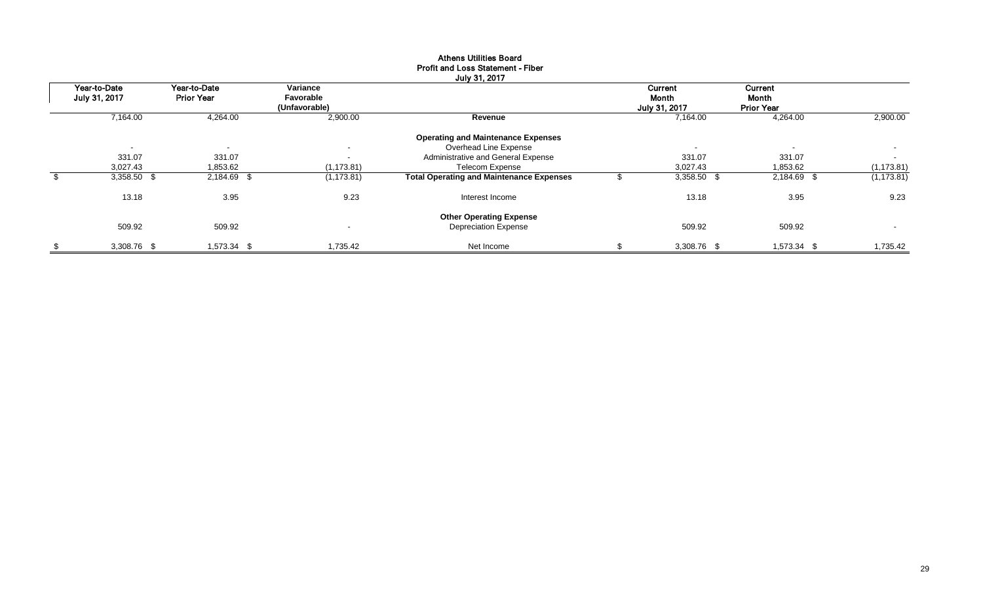|                               |                                   |                                        | July 31, 2017                                                      |                                   |                                       |                          |
|-------------------------------|-----------------------------------|----------------------------------------|--------------------------------------------------------------------|-----------------------------------|---------------------------------------|--------------------------|
| Year-to-Date<br>July 31, 2017 | Year-to-Date<br><b>Prior Year</b> | Variance<br>Favorable<br>(Unfavorable) |                                                                    | Current<br>Month<br>July 31, 2017 | Current<br>Month<br><b>Prior Year</b> |                          |
| 7,164.00                      | 4,264.00                          | 2,900.00                               | Revenue                                                            | 7,164.00                          | 4,264.00                              | 2,900.00                 |
| $\sim$                        | $\overline{\phantom{a}}$          | $\overline{\phantom{a}}$               | <b>Operating and Maintenance Expenses</b><br>Overhead Line Expense | $\blacksquare$                    | $\sim$                                | $\sim$                   |
| 331.07                        | 331.07                            | $\sim$                                 | Administrative and General Expense                                 | 331.07                            | 331.07                                | $\sim$                   |
| 3,027.43                      | 1,853.62                          | (1, 173.81)                            | <b>Telecom Expense</b>                                             | 3,027.43                          | 1,853.62                              | (1, 173.81)              |
| 3,358.50 \$                   | 2,184.69 \$                       | (1, 173.81)                            | <b>Total Operating and Maintenance Expenses</b>                    | 3,358.50 \$                       | 2,184.69 \$                           | (1, 173.81)              |
| 13.18                         | 3.95                              | 9.23                                   | Interest Income                                                    | 13.18                             | 3.95                                  | 9.23                     |
|                               |                                   |                                        | <b>Other Operating Expense</b>                                     |                                   |                                       |                          |
| 509.92                        | 509.92                            | $\overline{\phantom{a}}$               | <b>Depreciation Expense</b>                                        | 509.92                            | 509.92                                | $\overline{\phantom{a}}$ |
| \$<br>3,308.76 \$             | 1,573.34 \$                       | 1.735.42                               | Net Income                                                         | 3,308.76 \$                       | 1,573.34 \$                           | 1,735.42                 |

## Athens Utilities Board Profit and Loss Statement - Fiber